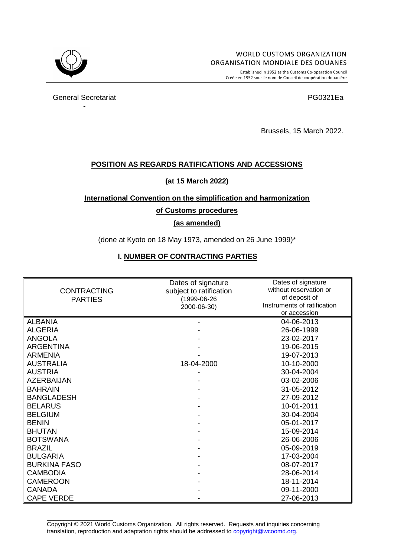

Established in 1952 as the Customs Co-operation Council Créée en 1952 sous le nom de Conseil de coopération douanière

General Secretariat **PG0321Ea** -

Brussels, 15 March 2022.

### **POSITION AS REGARDS RATIFICATIONS AND ACCESSIONS**

### **(at 15 March 2022)**

### **International Convention on the simplification and harmonization**

#### **of Customs procedures**

### **(as amended)**

(done at Kyoto on 18 May 1973, amended on 26 June 1999)\*

### **I. NUMBER OF CONTRACTING PARTIES**

|                     | Dates of signature      | Dates of signature<br>without reservation or |
|---------------------|-------------------------|----------------------------------------------|
| <b>CONTRACTING</b>  | subject to ratification |                                              |
| <b>PARTIES</b>      | (1999-06-26)            | of deposit of<br>Instruments of ratification |
|                     | 2000-06-30)             | or accession                                 |
|                     |                         |                                              |
| <b>ALBANIA</b>      |                         | 04-06-2013                                   |
| <b>ALGERIA</b>      |                         | 26-06-1999                                   |
| <b>ANGOLA</b>       |                         | 23-02-2017                                   |
| <b>ARGENTINA</b>    |                         | 19-06-2015                                   |
| <b>ARMENIA</b>      |                         | 19-07-2013                                   |
| <b>AUSTRALIA</b>    | 18-04-2000              | 10-10-2000                                   |
| <b>AUSTRIA</b>      |                         | 30-04-2004                                   |
| <b>AZERBAIJAN</b>   |                         | 03-02-2006                                   |
| <b>BAHRAIN</b>      |                         | 31-05-2012                                   |
| <b>BANGLADESH</b>   |                         | 27-09-2012                                   |
| <b>BELARUS</b>      |                         | 10-01-2011                                   |
| <b>BELGIUM</b>      |                         | 30-04-2004                                   |
| <b>BENIN</b>        |                         | 05-01-2017                                   |
| <b>BHUTAN</b>       |                         | 15-09-2014                                   |
| <b>BOTSWANA</b>     |                         | 26-06-2006                                   |
| <b>BRAZIL</b>       |                         | 05-09-2019                                   |
| <b>BULGARIA</b>     |                         | 17-03-2004                                   |
| <b>BURKINA FASO</b> |                         | 08-07-2017                                   |
| <b>CAMBODIA</b>     |                         | 28-06-2014                                   |
| <b>CAMEROON</b>     |                         | 18-11-2014                                   |
| <b>CANADA</b>       |                         | 09-11-2000                                   |
| <b>CAPE VERDE</b>   |                         | 27-06-2013                                   |

\_\_\_\_\_\_\_\_\_\_\_\_\_\_\_\_\_\_\_\_ Copyright © 2021 World Customs Organization. All rights reserved. Requests and inquiries concerning translation, reproduction and adaptation rights should be addressed t[o copyright@wcoomd.org.](mailto:copyright@wcoomd.org)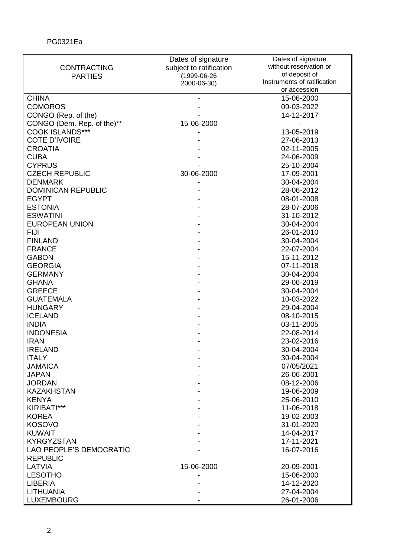|                                | Dates of signature      | Dates of signature          |
|--------------------------------|-------------------------|-----------------------------|
| <b>CONTRACTING</b>             | subject to ratification | without reservation or      |
| <b>PARTIES</b>                 | (1999-06-26             | of deposit of               |
|                                | 2000-06-30)             | Instruments of ratification |
|                                |                         | or accession                |
| <b>CHINA</b>                   |                         | 15-06-2000                  |
| <b>COMOROS</b>                 |                         | 09-03-2022                  |
| CONGO (Rep. of the)            |                         | 14-12-2017                  |
| CONGO (Dem. Rep. of the)**     | 15-06-2000              |                             |
| <b>COOK ISLANDS***</b>         |                         | 13-05-2019                  |
| <b>COTE D'IVOIRE</b>           |                         | 27-06-2013                  |
| <b>CROATIA</b>                 |                         | 02-11-2005                  |
| <b>CUBA</b>                    |                         | 24-06-2009                  |
| <b>CYPRUS</b>                  |                         | 25-10-2004                  |
| <b>CZECH REPUBLIC</b>          | 30-06-2000              | 17-09-2001                  |
| <b>DENMARK</b>                 |                         | 30-04-2004                  |
| <b>DOMINICAN REPUBLIC</b>      |                         | 28-06-2012                  |
| <b>EGYPT</b>                   |                         | 08-01-2008                  |
|                                |                         |                             |
| <b>ESTONIA</b>                 |                         | 28-07-2006                  |
| <b>ESWATINI</b>                |                         | 31-10-2012                  |
| <b>EUROPEAN UNION</b>          |                         | 30-04-2004                  |
| <b>FIJI</b>                    |                         | 26-01-2010                  |
| <b>FINLAND</b>                 |                         | 30-04-2004                  |
| <b>FRANCE</b>                  |                         | 22-07-2004                  |
| <b>GABON</b>                   |                         | 15-11-2012                  |
| <b>GEORGIA</b>                 |                         | 07-11-2018                  |
| <b>GERMANY</b>                 |                         | 30-04-2004                  |
| <b>GHANA</b>                   |                         | 29-06-2019                  |
| <b>GREECE</b>                  |                         | 30-04-2004                  |
| <b>GUATEMALA</b>               |                         | 10-03-2022                  |
| <b>HUNGARY</b>                 |                         | 29-04-2004                  |
| <b>ICELAND</b>                 |                         | 08-10-2015                  |
| <b>INDIA</b>                   |                         | 03-11-2005                  |
| <b>INDONESIA</b>               |                         | 22-08-2014                  |
| <b>IRAN</b>                    |                         | 23-02-2016                  |
| <b>IRELAND</b>                 |                         | 30-04-2004                  |
| <b>ITALY</b>                   |                         | 30-04-2004                  |
| <b>JAMAICA</b>                 |                         | 07/05/2021                  |
| <b>JAPAN</b>                   |                         | 26-06-2001                  |
|                                |                         | 08-12-2006                  |
| <b>JORDAN</b>                  |                         |                             |
| <b>KAZAKHSTAN</b>              |                         | 19-06-2009                  |
| <b>KENYA</b>                   |                         | 25-06-2010                  |
| KIRIBATI***                    |                         | 11-06-2018                  |
| <b>KOREA</b>                   |                         | 19-02-2003                  |
| <b>KOSOVO</b>                  |                         | 31-01-2020                  |
| <b>KUWAIT</b>                  |                         | 14-04-2017                  |
| <b>KYRGYZSTAN</b>              |                         | 17-11-2021                  |
| <b>LAO PEOPLE'S DEMOCRATIC</b> |                         | 16-07-2016                  |
| <b>REPUBLIC</b>                |                         |                             |
| LATVIA                         | 15-06-2000              | 20-09-2001                  |
| <b>LESOTHO</b>                 |                         | 15-06-2000                  |
| <b>LIBERIA</b>                 |                         | 14-12-2020                  |
| <b>LITHUANIA</b>               |                         | 27-04-2004                  |
| <b>LUXEMBOURG</b>              |                         | 26-01-2006                  |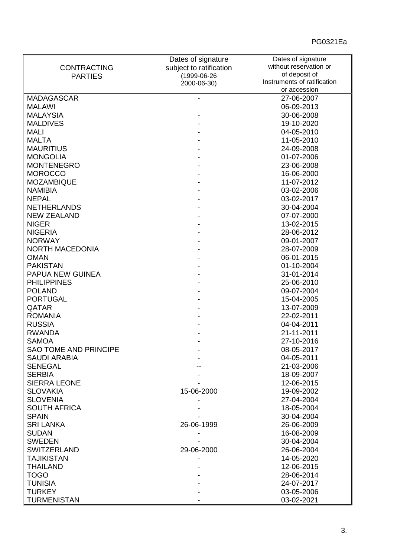|                              | Dates of signature      | Dates of signature          |
|------------------------------|-------------------------|-----------------------------|
| <b>CONTRACTING</b>           | subject to ratification | without reservation or      |
| <b>PARTIES</b>               | (1999-06-26             | of deposit of               |
|                              | 2000-06-30)             | Instruments of ratification |
|                              |                         | or accession                |
| <b>MADAGASCAR</b>            |                         | 27-06-2007                  |
| <b>MALAWI</b>                |                         | 06-09-2013                  |
| <b>MALAYSIA</b>              |                         | 30-06-2008                  |
| <b>MALDIVES</b>              |                         | 19-10-2020                  |
| <b>MALI</b>                  |                         | 04-05-2010                  |
| <b>MALTA</b>                 |                         | 11-05-2010                  |
| <b>MAURITIUS</b>             |                         | 24-09-2008                  |
| <b>MONGOLIA</b>              |                         | 01-07-2006                  |
| <b>MONTENEGRO</b>            |                         | 23-06-2008                  |
| <b>MOROCCO</b>               |                         | 16-06-2000                  |
| <b>MOZAMBIQUE</b>            |                         | 11-07-2012                  |
| <b>NAMIBIA</b>               |                         | 03-02-2006                  |
| <b>NEPAL</b>                 |                         | 03-02-2017                  |
| <b>NETHERLANDS</b>           |                         | 30-04-2004                  |
|                              |                         |                             |
| <b>NEW ZEALAND</b>           |                         | 07-07-2000                  |
| <b>NIGER</b>                 |                         | 13-02-2015                  |
| <b>NIGERIA</b>               |                         | 28-06-2012                  |
| <b>NORWAY</b>                |                         | 09-01-2007                  |
| <b>NORTH MACEDONIA</b>       |                         | 28-07-2009                  |
| <b>OMAN</b>                  |                         | 06-01-2015                  |
| <b>PAKISTAN</b>              |                         | 01-10-2004                  |
| PAPUA NEW GUINEA             |                         | 31-01-2014                  |
| <b>PHILIPPINES</b>           |                         | 25-06-2010                  |
| <b>POLAND</b>                |                         | 09-07-2004                  |
| <b>PORTUGAL</b>              |                         | 15-04-2005                  |
| QATAR                        |                         | 13-07-2009                  |
| <b>ROMANIA</b>               |                         | 22-02-2011                  |
| <b>RUSSIA</b>                |                         | 04-04-2011                  |
| <b>RWANDA</b>                |                         | 21-11-2011                  |
| <b>SAMOA</b>                 |                         | 27-10-2016                  |
| <b>SAO TOME AND PRINCIPE</b> |                         | 08-05-2017                  |
| <b>SAUDI ARABIA</b>          |                         | 04-05-2011                  |
| <b>SENEGAL</b>               |                         | 21-03-2006                  |
| <b>SERBIA</b>                |                         | 18-09-2007                  |
| <b>SIERRA LEONE</b>          |                         | 12-06-2015                  |
| <b>SLOVAKIA</b>              | 15-06-2000              | 19-09-2002                  |
|                              |                         |                             |
| <b>SLOVENIA</b>              |                         | 27-04-2004                  |
| <b>SOUTH AFRICA</b>          |                         | 18-05-2004                  |
| <b>SPAIN</b>                 |                         | 30-04-2004                  |
| <b>SRI LANKA</b>             | 26-06-1999              | 26-06-2009                  |
| <b>SUDAN</b>                 |                         | 16-08-2009                  |
| <b>SWEDEN</b>                |                         | 30-04-2004                  |
| <b>SWITZERLAND</b>           | 29-06-2000              | 26-06-2004                  |
| <b>TAJIKISTAN</b>            |                         | 14-05-2020                  |
| <b>THAILAND</b>              |                         | 12-06-2015                  |
| <b>TOGO</b>                  |                         | 28-06-2014                  |
| <b>TUNISIA</b>               |                         | 24-07-2017                  |
| <b>TURKEY</b>                |                         | 03-05-2006                  |
| <b>TURMENISTAN</b>           |                         | 03-02-2021                  |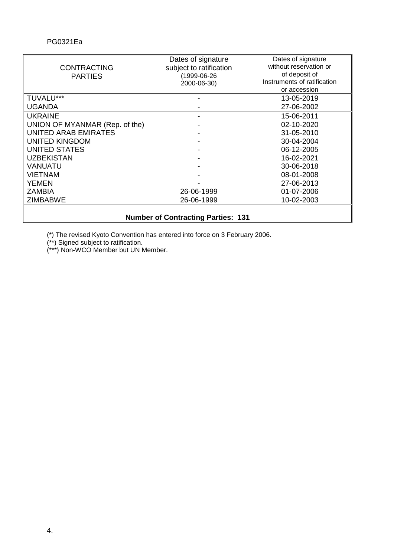|                                | Dates of signature                        | Dates of signature          |
|--------------------------------|-------------------------------------------|-----------------------------|
| <b>CONTRACTING</b>             | subject to ratification                   | without reservation or      |
| <b>PARTIES</b>                 | (1999-06-26                               | of deposit of               |
|                                | 2000-06-30)                               | Instruments of ratification |
|                                |                                           | or accession                |
| TUVALU***                      |                                           | 13-05-2019                  |
| <b>UGANDA</b>                  |                                           | 27-06-2002                  |
| <b>UKRAINE</b>                 |                                           | 15-06-2011                  |
| UNION OF MYANMAR (Rep. of the) |                                           | 02-10-2020                  |
| <b>UNITED ARAB EMIRATES</b>    |                                           | 31-05-2010                  |
| <b>UNITED KINGDOM</b>          |                                           | 30-04-2004                  |
| <b>UNITED STATES</b>           |                                           | 06-12-2005                  |
| <b>UZBEKISTAN</b>              |                                           | 16-02-2021                  |
| <b>VANUATU</b>                 |                                           | 30-06-2018                  |
| <b>VIETNAM</b>                 |                                           | 08-01-2008                  |
| <b>YEMEN</b>                   |                                           | 27-06-2013                  |
| ZAMBIA                         | 26-06-1999                                | 01-07-2006                  |
| <b>ZIMBABWE</b>                | 26-06-1999                                | 10-02-2003                  |
|                                | <b>Number of Contracting Parties: 131</b> |                             |
|                                |                                           |                             |

# **Number of Contracting Parties: 131**

(\*) The revised Kyoto Convention has entered into force on 3 February 2006.

(\*\*) Signed subject to ratification.

(\*\*\*) Non-WCO Member but UN Member.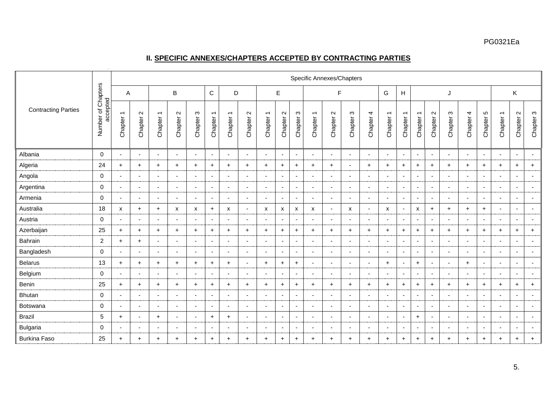# **II. SPECIFIC ANNEXES/CHAPTERS ACCEPTED BY CONTRACTING PARTIES**

|                            |                                |                                     |                          |                                     |                          |                          |                                     |                                     |                          |                                     |                          |                          | Specific Annexes/Chapters           |                          |                          |                          |                                     |                                     |                                     |                          |                          |                          |                          |                                     |                               |                          |
|----------------------------|--------------------------------|-------------------------------------|--------------------------|-------------------------------------|--------------------------|--------------------------|-------------------------------------|-------------------------------------|--------------------------|-------------------------------------|--------------------------|--------------------------|-------------------------------------|--------------------------|--------------------------|--------------------------|-------------------------------------|-------------------------------------|-------------------------------------|--------------------------|--------------------------|--------------------------|--------------------------|-------------------------------------|-------------------------------|--------------------------|
|                            |                                | Α                                   |                          |                                     | B                        |                          | $\mathsf C$                         | D                                   |                          |                                     | E                        |                          |                                     | F                        |                          |                          | G                                   | H                                   |                                     |                          | J                        |                          |                          |                                     | Κ                             |                          |
| <b>Contracting Parties</b> | Number of Chapters<br>accepted | $\overline{\phantom{0}}$<br>Chapter | $\sim$<br>Chapter        | $\overline{\phantom{0}}$<br>Chapter | $\sim$<br>Chapter        | S<br>Chapter             | $\overline{\phantom{0}}$<br>Chapter | $\overline{\phantom{0}}$<br>Chapter | $\sim$<br>Chapter        | $\overline{\phantom{0}}$<br>Chapter | $\sim$<br>Chapter        | ო<br>Chapter             | $\overline{\phantom{0}}$<br>Chapter | $\sim$<br>Chapter        | $\infty$<br>Chapter      | Chapter 4                | $\overline{\phantom{0}}$<br>Chapter | $\overline{\phantom{0}}$<br>Chapter | $\overline{\phantom{0}}$<br>Chapter | $\sim$<br>Chapter        | ო<br>Chapter             | 4<br>Chapter             | Ю<br>Chapter             | $\overline{\phantom{0}}$<br>Chapter | $\mathbf{\Omega}$<br>Chapter: | $\infty$<br>Chapter      |
| Albania                    | $\mathbf 0$                    |                                     | $\overline{\phantom{a}}$ | $\overline{\phantom{a}}$            |                          | ٠                        | $\overline{\phantom{a}}$            | $\blacksquare$                      | $\blacksquare$           | $\overline{\phantom{a}}$            | $\overline{\phantom{a}}$ | $\overline{\phantom{a}}$ | $\overline{\phantom{a}}$            | $\overline{\phantom{a}}$ |                          | $\blacksquare$           | $\blacksquare$                      | $\overline{\phantom{a}}$            | $\overline{\phantom{a}}$            | $\blacksquare$           | ٠                        | $\overline{\phantom{a}}$ | $\blacksquare$           | $\blacksquare$                      | $\sim$                        | $\sim$                   |
| Algeria                    | 24                             | $+$                                 | $\ddot{}$                | $+$                                 | $+$                      | $\ddot{}$                | $\ddot{}$                           | $\ddot{}$                           | $+$                      | $\ddot{}$                           | $\ddot{}$                | $\ddot{}$                | $+$                                 | $+$                      |                          | $\ddot{}$                | $+$                                 | $\ddot{}$                           | $\ddot{}$                           | $\ddot{}$                | $\ddot{}$                | $\ddot{}$                | $\ddot{}$                | $+$                                 | $\ddot{}$                     | $\ddot{}$                |
| Angola                     | $\mathbf 0$                    |                                     |                          | $\overline{\phantom{a}}$            |                          | ٠                        | $\overline{\phantom{a}}$            | ٠                                   |                          |                                     | $\overline{\phantom{a}}$ |                          | $\blacksquare$                      | $\overline{\phantom{a}}$ |                          | $\overline{\phantom{a}}$ |                                     | $\blacksquare$                      | $\overline{\phantom{a}}$            | $\overline{\phantom{a}}$ |                          | $\overline{\phantom{a}}$ | $\blacksquare$           | $\overline{\phantom{a}}$            | $\overline{\phantom{a}}$      |                          |
| Argentina                  | $\mathbf 0$                    | $\overline{\phantom{a}}$            | $\overline{\phantom{a}}$ | $\overline{a}$                      | $\overline{\phantom{a}}$ | $\overline{\phantom{a}}$ | $\overline{\phantom{a}}$            | $\blacksquare$                      | $\overline{\phantom{0}}$ | $\overline{a}$                      | $\blacksquare$           | $\overline{\phantom{0}}$ | $\blacksquare$                      | $\overline{\phantom{a}}$ | $\overline{a}$           | $\overline{\phantom{a}}$ | $\overline{\phantom{a}}$            | $\blacksquare$                      | $\overline{\phantom{a}}$            | $\sim$                   | $\blacksquare$           | $\overline{\phantom{a}}$ | $\blacksquare$           | $\overline{\phantom{a}}$            | $\sim$                        | $\overline{a}$           |
| Armenia                    | $\mathbf 0$                    | $\overline{\phantom{a}}$            | $\overline{\phantom{a}}$ | $\overline{a}$                      | $\overline{a}$           | $\overline{\phantom{a}}$ | $\overline{\phantom{a}}$            | $\blacksquare$                      | $\overline{\phantom{a}}$ | $\overline{a}$                      | $\overline{\phantom{a}}$ | $\blacksquare$           | $\sim$                              | $\overline{\phantom{a}}$ | $\overline{a}$           | $\sim$                   | $\overline{\phantom{a}}$            | $\blacksquare$                      | $\sim$                              | $\sim$                   | $\overline{\phantom{0}}$ | $\overline{\phantom{a}}$ | $\blacksquare$           | $\overline{a}$                      | $\sim$                        | $\sim$                   |
| Australia                  | 18                             | X                                   | $\div$                   | $+$                                 | x                        | X                        | $\ddot{}$                           | $\boldsymbol{\mathsf{x}}$           | $\overline{\phantom{a}}$ | X                                   | X                        | х                        | $\boldsymbol{\mathsf{x}}$           | $\overline{\phantom{a}}$ | X                        | $\overline{\phantom{a}}$ | X                                   | $\blacksquare$                      | $\boldsymbol{\mathsf{x}}$           | $\ddot{}$                | $\ddot{}$                | $\ddot{}$                | $\ddot{}$                | $\overline{\phantom{a}}$            | $\sim$                        | $\overline{\phantom{a}}$ |
| Austria                    | $\mathbf 0$                    | $\sim$                              | $\overline{\phantom{a}}$ | $\overline{a}$                      | $\overline{a}$           | $\overline{\phantom{a}}$ | $\overline{\phantom{a}}$            | $\blacksquare$                      | $\overline{\phantom{a}}$ | $\overline{a}$                      | $\overline{\phantom{a}}$ | $\overline{\phantom{a}}$ | $\sim$                              | $\overline{\phantom{a}}$ | $\overline{a}$           | $\sim$                   | $\overline{\phantom{a}}$            | $\blacksquare$                      | $\overline{\phantom{a}}$            | $\overline{\phantom{a}}$ | $\overline{\phantom{0}}$ | $\overline{\phantom{a}}$ | $\blacksquare$           | $\overline{\phantom{a}}$            | $\overline{\phantom{a}}$      | $\sim$                   |
| Azerbaijan                 | 25                             | $+$                                 | $\ddot{}$                | $+$                                 | $\ddot{}$                | $\ddot{}$                | $\ddot{}$                           | $\ddot{}$                           | $\ddot{}$                | $\ddot{}$                           | $+$                      | $\ddot{}$                | $+$                                 | $\ddot{}$                | $\ddot{}$                | $+$                      | $+$                                 | $\ddot{}$                           | $\ddot{}$                           | $\ddot{}$                | $\ddot{}$                | $\ddot{}$                | $\ddot{}$                | $+$                                 | $\ddot{}$                     | $\ddot{}$                |
| Bahrain                    | $\overline{2}$                 | $\ddot{}$                           | $\ddot{}$                | $\blacksquare$                      |                          | ٠                        | $\overline{\phantom{a}}$            | $\blacksquare$                      | $\blacksquare$           |                                     | $\overline{\phantom{a}}$ | $\blacksquare$           | $\sim$                              | $\blacksquare$           |                          | $\sim$                   | $\blacksquare$                      | $\blacksquare$                      | $\overline{\phantom{a}}$            | $\overline{\phantom{a}}$ |                          | $\overline{\phantom{a}}$ | $\blacksquare$           | $\overline{\phantom{a}}$            | $\overline{\phantom{a}}$      |                          |
| Bangladesh                 | $\mathbf 0$                    | $\overline{\phantom{a}}$            | $\overline{\phantom{a}}$ | $\blacksquare$                      | $\overline{\phantom{a}}$ | $\overline{\phantom{a}}$ | $\overline{\phantom{a}}$            | $\blacksquare$                      | $\blacksquare$           | $\overline{\phantom{a}}$            | $\overline{\phantom{a}}$ | $\overline{\phantom{a}}$ | $\sim$                              | $\overline{\phantom{a}}$ | $\overline{\phantom{a}}$ | $\sim$                   | $\overline{\phantom{a}}$            | $\blacksquare$                      | $\overline{\phantom{a}}$            | $\blacksquare$           | $\overline{\phantom{a}}$ | $\sim$                   | $\overline{\phantom{a}}$ | $\blacksquare$                      | $\sim$                        | $\overline{\phantom{a}}$ |
| <b>Belarus</b>             | 13                             | $+$                                 | $\ddot{}$                | $+$                                 | $\ddot{}$                | $+$                      | $\ddot{}$                           | $\ddot{}$                           | $\blacksquare$           | $\ddot{}$                           | $+$                      | $\ddot{}$                | $\sim$                              | $\blacksquare$           |                          | $\sim$                   | $+$                                 | $\overline{\phantom{a}}$            | $+$                                 | $\overline{\phantom{a}}$ |                          | $+$                      | -                        | $\blacksquare$                      | $\overline{\phantom{a}}$      |                          |
| Belgium                    | $\mathbf 0$                    | $\overline{\phantom{a}}$            | $\overline{\phantom{a}}$ | $\overline{a}$                      | $\overline{a}$           | $\overline{\phantom{a}}$ | $\overline{\phantom{a}}$            | $\overline{\phantom{a}}$            | $\overline{\phantom{a}}$ | $\overline{a}$                      | $\overline{\phantom{a}}$ | $\overline{\phantom{a}}$ | $\sim$                              | $\overline{\phantom{a}}$ | $\overline{\phantom{0}}$ | $\blacksquare$           | $\overline{\phantom{a}}$            | $\blacksquare$                      | $\sim$                              | $\blacksquare$           | $\overline{\phantom{0}}$ | $\sim$                   | $\blacksquare$           | $\overline{\phantom{a}}$            | $\blacksquare$                | $\overline{\phantom{a}}$ |
| Benin                      | 25                             | $\pm$                               | $\ddot{}$                | $\ddot{}$                           | $\ddot{}$                | $\ddot{}$                | $\ddot{}$                           | $+$                                 | $+$                      | $\ddot{}$                           | $\ddot{}$                | $\ddot{}$                | $+$                                 | $\ddot{}$                | $\ddot{}$                | $+$                      | $+$                                 | $+$                                 | $\ddot{}$                           | $\ddot{}$                | $\ddot{}$                | $\ddot{}$                | $\ddot{}$                | $+$                                 | $\ddot{}$                     | $\ddot{}$                |
| Bhutan                     | $\mathbf 0$                    | $\overline{\phantom{a}}$            | $\overline{\phantom{a}}$ | $\blacksquare$                      | $\overline{\phantom{a}}$ | $\overline{\phantom{a}}$ | $\overline{\phantom{a}}$            | $\blacksquare$                      | $\overline{\phantom{a}}$ | $\overline{a}$                      | $\overline{\phantom{a}}$ | $\overline{\phantom{a}}$ | $\sim$                              | $\overline{\phantom{a}}$ | $\overline{a}$           | $\sim$                   | $\overline{\phantom{a}}$            | $\blacksquare$                      | $\overline{\phantom{a}}$            | $\blacksquare$           | $\overline{\phantom{0}}$ | $\sim$                   | $\blacksquare$           | $\blacksquare$                      | $\sim$                        | $\overline{\phantom{a}}$ |
| Botswana                   | $\mathbf 0$                    | $\overline{\phantom{a}}$            | $\overline{\phantom{a}}$ | $\blacksquare$                      | $\overline{a}$           | $\overline{\phantom{a}}$ | $\sim$                              | $\blacksquare$                      | $\overline{\phantom{a}}$ | $\blacksquare$                      | $\blacksquare$           | $\blacksquare$           | $\overline{\phantom{a}}$            | $\overline{\phantom{a}}$ | $\overline{a}$           | $\sim$                   | $\blacksquare$                      | $\sim$                              | $\sim$                              | $\sim$                   | $\overline{\phantom{a}}$ | $\sim$                   | $\blacksquare$           | $\overline{\phantom{a}}$            | $\sim$                        | $\overline{\phantom{a}}$ |
| <b>Brazil</b>              | 5                              | $+$                                 | $\overline{\phantom{a}}$ | $+$                                 |                          | $\overline{\phantom{a}}$ | $\ddot{}$                           | $+$                                 | $\blacksquare$           | $\blacksquare$                      | $\blacksquare$           | $\blacksquare$           | $\blacksquare$                      | $\overline{\phantom{a}}$ | $\overline{\phantom{a}}$ | $\sim$                   | $\overline{\phantom{a}}$            | $\sim$                              | $+$                                 | $\sim$                   | ٠                        | $\sim$                   | $\blacksquare$           | $\blacksquare$                      | $\sim$                        |                          |
| <b>Bulgaria</b>            | $\mathbf 0$                    |                                     | $\overline{\phantom{a}}$ | $\blacksquare$                      |                          | $\overline{\phantom{a}}$ | $\overline{\phantom{a}}$            | $\blacksquare$                      | $\overline{\phantom{a}}$ | $\overline{\phantom{a}}$            | $\blacksquare$           | $\blacksquare$           | $\overline{\phantom{a}}$            | $\blacksquare$           |                          | $\sim$                   | $\overline{\phantom{a}}$            | $\overline{\phantom{a}}$            | $\overline{\phantom{a}}$            | $\blacksquare$           | $\blacksquare$           | $\overline{\phantom{a}}$ | $\blacksquare$           | $\blacksquare$                      | $\sim$                        |                          |
| <b>Burkina Faso</b>        | 25                             | $\ddot{}$                           | $\ddot{}$                | $\ddot{}$                           | $\ddot{}$                | $\ddot{}$                | $\ddot{}$                           | $\ddot{}$                           | $\ddot{}$                | $\ddot{}$                           | $\ddot{}$                | $\ddot{}$                | $\ddot{}$                           | $\ddot{}$                | $\ddot{}$                | $\ddot{}$                | $\ddot{}$                           | $\ddot{}$                           | $\ddot{}$                           | $\ddot{}$                | $\ddot{}$                | $\ddot{}$                | $\ddot{}$                | $\ddot{}$                           | $\ddot{}$                     | $\ddot{}$                |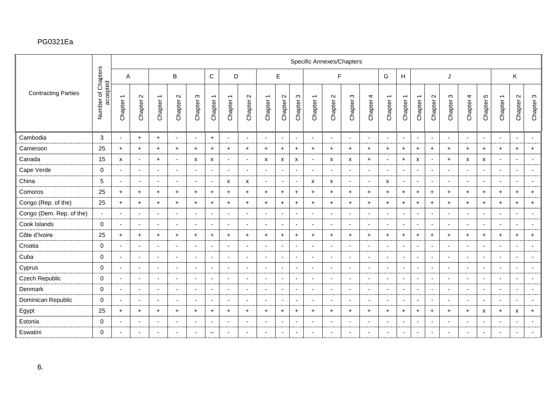|                            |                       |                                                  |                              |                          |                                           |                          |                          |                          |                                 |                                                  |                                           |                          | Specific Annexes/Chapters |                               |                          |                          |                          |                                                  |                                                  |                          |                |                          |                          |                          |                                |                          |
|----------------------------|-----------------------|--------------------------------------------------|------------------------------|--------------------------|-------------------------------------------|--------------------------|--------------------------|--------------------------|---------------------------------|--------------------------------------------------|-------------------------------------------|--------------------------|---------------------------|-------------------------------|--------------------------|--------------------------|--------------------------|--------------------------------------------------|--------------------------------------------------|--------------------------|----------------|--------------------------|--------------------------|--------------------------|--------------------------------|--------------------------|
|                            | Chapters              | A                                                |                              |                          | B                                         |                          | $\mathsf{C}$             | D                        |                                 |                                                  | E                                         |                          |                           | F                             |                          |                          | G                        | $\boldsymbol{\mathsf{H}}$                        |                                                  |                          | J              |                          |                          |                          | K.                             |                          |
| <b>Contracting Parties</b> | accepted<br>Number of | $\overline{\phantom{0}}$<br>Chapter <sup>-</sup> | $\mathbf{\Omega}$<br>Chapter | Chapter 1                | $\mathbf{\Omega}$<br>Chapter <sup>2</sup> | S<br>Chapter             | Chapter 1                | Chapter 1                | $\boldsymbol{\sim}$<br>Chapter: | $\overline{\phantom{0}}$<br>Chapter <sup>-</sup> | $\mathbf{\Omega}$<br>Chapter <sup>:</sup> | က<br>Chapter:            | Chapter 1                 | $\mathbf{\Omega}$<br>Chapter: | S<br>Chapter             | Chapter 4                | Chapter 1                | $\overline{\phantom{m}}$<br>Chapter <sup>-</sup> | $\overline{\phantom{0}}$<br>Chapter <sup>-</sup> | $\sim$<br>Chapter:       | S<br>Chapter:  | Chapter 4                | 5<br>Chapter !           | Chapter 1                | $\sim$<br>Chapter <sup>2</sup> | Chapter 3                |
| Cambodia                   | $\sqrt{3}$            |                                                  | $\ddot{}$                    | $+$                      | $\blacksquare$                            | $\overline{\phantom{a}}$ | $+$                      | $\blacksquare$           | $\overline{\phantom{a}}$        |                                                  | $\overline{\phantom{a}}$                  | $\sim$                   | $\blacksquare$            | $\blacksquare$                | $\overline{\phantom{a}}$ | $\overline{\phantom{a}}$ |                          | $\overline{\phantom{a}}$                         | $\overline{\phantom{a}}$                         | $\overline{\phantom{a}}$ |                | $\sim$                   | $\overline{\phantom{a}}$ | $\overline{\phantom{a}}$ | $\sim$                         | $\overline{\phantom{a}}$ |
| Cameroon                   | 25                    | $\ddot{}$                                        | $\ddot{}$                    | $\ddot{}$                | $\ddot{}$                                 | $\ddot{}$                | $\ddot{}$                | $+$                      | $\ddot{}$                       | $\ddot{}$                                        | $+$                                       | $\ddot{}$                | $\ddot{}$                 | $\ddot{}$                     | $\ddot{}$                | $\ddot{}$                | $+$                      | $+$                                              | $\ddot{}$                                        | $\ddot{}$                | $\ddot{}$      | $\ddot{}$                | $\ddot{}$                | $+$                      | $\ddot{}$                      | $+$                      |
| Canada                     | 15                    | X                                                | $\blacksquare$               | $+$                      | $\overline{\phantom{a}}$                  | X                        | x                        | $\blacksquare$           | $\overline{a}$                  | X                                                | X                                         | X                        | $\overline{\phantom{a}}$  | X                             | X                        | $+$                      | $\overline{\phantom{0}}$ | $+$                                              | X                                                | $\overline{\phantom{a}}$ | $\ddot{}$      | X                        | X                        | $\blacksquare$           | $\sim$                         | $\overline{\phantom{a}}$ |
| Cape Verde                 | $\mathbf 0$           |                                                  | ٠                            | $\blacksquare$           |                                           | ٠                        | $\blacksquare$           | $\blacksquare$           | $\blacksquare$                  |                                                  | $\blacksquare$                            | $\overline{\phantom{a}}$ | $\overline{\phantom{a}}$  | $\overline{\phantom{a}}$      | <b>.</b>                 | $\sim$                   | $\overline{\phantom{0}}$ | $\blacksquare$                                   | $\blacksquare$                                   | $\blacksquare$           |                | $\overline{\phantom{a}}$ | $\overline{\phantom{a}}$ |                          | $\blacksquare$                 | $\blacksquare$           |
| China                      | 5                     | $\sim$                                           | $\overline{\phantom{a}}$     | $\sim$                   | $\overline{\phantom{a}}$                  | $\overline{\phantom{a}}$ | $\sim$                   | $\mathsf{x}$             | X                               | $\sim$                                           | $\sim$                                    | $\sim$                   | $\mathsf{x}$              | X                             | $\overline{\phantom{a}}$ | $\sim$                   | X                        | $\overline{\phantom{a}}$                         | $\overline{\phantom{a}}$                         | $\sim$                   | $\overline{a}$ | $\sim$                   | $\sim$                   | $\overline{a}$           | $\sim$                         | $\sim$                   |
| Comoros                    | 25                    | $+$                                              | $\ddot{}$                    | $+$                      | $\ddot{}$                                 | $+$                      | $\ddot{}$                | $+$                      | $+$                             | $+$                                              | $+$                                       | $\ddot{}$                | $+$                       | $+$                           | $+$                      | $+$                      | $+$                      | $+$                                              | $+$                                              | $+$                      | $\ddot{}$      | $+$                      | $\ddot{}$                | $+$                      | $+$                            | $+$                      |
| Congo (Rep. of the)        | 25                    | $+$                                              | $\ddot{}$                    | $+$                      | $+$                                       | $\ddot{}$                | $+$                      | $+$                      | $+$                             | $\ddot{}$                                        | $+$                                       | $\ddot{}$                | $+$                       | $+$                           | $\ddot{}$                | $+$                      | $+$                      | $+$                                              | $+$                                              | $\ddot{}$                | $\ddot{}$      | $+$                      | $\ddot{}$                | $+$                      | $\ddot{}$                      | $+$                      |
| Congo (Dem. Rep. of the)   | $\sim$                |                                                  | $\overline{\phantom{a}}$     | $\blacksquare$           |                                           | $\overline{\phantom{a}}$ | $\overline{\phantom{a}}$ | $\overline{\phantom{a}}$ | $\blacksquare$                  |                                                  | $\overline{\phantom{a}}$                  | $\overline{\phantom{a}}$ | $\overline{\phantom{a}}$  | $\blacksquare$                | $\overline{\phantom{0}}$ | $\overline{\phantom{a}}$ |                          | $\blacksquare$                                   | $\blacksquare$                                   | $\blacksquare$           |                | $\sim$                   | $\overline{\phantom{a}}$ |                          | $\overline{\phantom{a}}$       | $\overline{\phantom{a}}$ |
| Cook Islands               | $\mathbf 0$           | $\overline{\phantom{a}}$                         | $\blacksquare$               | $\blacksquare$           | $\blacksquare$                            | $\blacksquare$           | $\overline{\phantom{a}}$ | $\blacksquare$           | $\overline{\phantom{a}}$        | $\overline{\phantom{a}}$                         | $\overline{\phantom{a}}$                  | $\overline{\phantom{a}}$ | $\overline{\phantom{a}}$  | $\overline{a}$                | $\overline{\phantom{a}}$ | $\sim$                   | $\overline{\phantom{a}}$ | $\overline{\phantom{a}}$                         | $\overline{\phantom{a}}$                         | $\overline{\phantom{a}}$ |                | $\sim$                   |                          | $\blacksquare$           | $\overline{\phantom{a}}$       | $\sim$                   |
| Côte d'Ivoire              | 25                    | $\ddot{}$                                        | $\ddot{}$                    | $+$                      | $\ddot{}$                                 | $\ddot{}$                | $\ddot{}$                | $\ddot{}$                | $\ddot{}$                       | $\ddot{}$                                        | $\ddot{}$                                 | $\ddot{}$                | $\ddot{}$                 | $\ddot{}$                     | $\ddot{}$                | $+$                      | $\ddot{}$                | $\ddot{}$                                        | $\ddot{}$                                        | $\ddot{}$                | $\ddot{}$      | $+$                      | $\ddot{}$                | $+$                      | $\ddot{}$                      | $+$                      |
| Croatia                    | $\mathbf 0$           | $\sim$                                           | $\overline{\phantom{a}}$     | $\blacksquare$           | $\sim$                                    | $\overline{\phantom{a}}$ | $\overline{\phantom{a}}$ | $\sim$                   | $\overline{\phantom{a}}$        | $\overline{\phantom{a}}$                         | $\blacksquare$                            | $\overline{\phantom{a}}$ | $\overline{\phantom{a}}$  | $\overline{\phantom{a}}$      | <b>.</b>                 | $\blacksquare$           | $\overline{\phantom{a}}$ | $\sim$                                           | $\overline{\phantom{a}}$                         | $\blacksquare$           | ۰.             | $\sim$                   | $\overline{\phantom{a}}$ | $\overline{\phantom{a}}$ | $\sim$                         | $\overline{\phantom{a}}$ |
| Cuba                       | $\mathbf 0$           | $\sim$                                           | $\blacksquare$               | $\blacksquare$           | $\blacksquare$                            | $\blacksquare$           | $\overline{\phantom{a}}$ | $\blacksquare$           | $\blacksquare$                  | $\overline{\phantom{a}}$                         | $\overline{\phantom{a}}$                  | $\sim$                   | $\overline{\phantom{a}}$  | $\overline{a}$                | $\overline{\phantom{a}}$ | $\blacksquare$           | $\overline{\phantom{a}}$ | $\blacksquare$                                   | $\overline{\phantom{a}}$                         | $\overline{\phantom{a}}$ |                | $\sim$                   | $\overline{\phantom{a}}$ | $\blacksquare$           | $\sim$                         | $\blacksquare$           |
| Cyprus                     | $\mathbf 0$           | $\overline{\phantom{a}}$                         | $\overline{\phantom{a}}$     | $\blacksquare$           | $\overline{\phantom{a}}$                  | $\overline{\phantom{a}}$ | $\sim$                   | $\blacksquare$           | $\blacksquare$                  | $\overline{\phantom{a}}$                         | $\overline{\phantom{a}}$                  | $\sim$                   | $\blacksquare$            | $\overline{\phantom{a}}$      | <b>.</b>                 | $\blacksquare$           | $\overline{\phantom{a}}$ | $\blacksquare$                                   | $\overline{\phantom{a}}$                         | $\overline{\phantom{a}}$ |                | $\overline{\phantom{a}}$ | $\overline{\phantom{a}}$ | $\blacksquare$           | $\blacksquare$                 | $\overline{\phantom{a}}$ |
| Czech Republic             | $\mathbf 0$           | $\overline{a}$                                   | $\overline{\phantom{a}}$     | $\overline{\phantom{a}}$ | $\overline{\phantom{a}}$                  | $\overline{\phantom{a}}$ | $\overline{\phantom{a}}$ | $\blacksquare$           | $\overline{\phantom{a}}$        |                                                  | $\overline{\phantom{a}}$                  | $\sim$                   | $\overline{\phantom{a}}$  | $\overline{\phantom{a}}$      | $\overline{\phantom{0}}$ | $\blacksquare$           |                          | $\overline{\phantom{a}}$                         | $\overline{\phantom{a}}$                         | $\overline{\phantom{a}}$ |                | $\sim$                   | $\overline{\phantom{a}}$ | $\overline{\phantom{0}}$ | $\overline{\phantom{a}}$       | $\overline{\phantom{a}}$ |
| Denmark                    | $\mathsf{O}\xspace$   |                                                  | $\overline{\phantom{a}}$     | $\overline{\phantom{a}}$ |                                           | $\blacksquare$           | $\overline{\phantom{a}}$ | $\blacksquare$           |                                 | $\overline{\phantom{a}}$                         | $\overline{\phantom{a}}$                  | $\overline{\phantom{a}}$ | $\overline{\phantom{a}}$  |                               | $\overline{\phantom{a}}$ | $\blacksquare$           |                          | $\overline{\phantom{a}}$                         | $\overline{\phantom{a}}$                         | $\overline{\phantom{a}}$ |                | $\blacksquare$           | $\overline{\phantom{a}}$ | $\blacksquare$           | $\overline{\phantom{a}}$       | $\blacksquare$           |
| Dominican Republic         | $\mathbf 0$           | $\sim$                                           | $\overline{\phantom{a}}$     | $\sim$                   | $\overline{\phantom{a}}$                  | $\overline{\phantom{a}}$ | $\overline{\phantom{a}}$ | $\blacksquare$           | $\overline{\phantom{a}}$        | $\overline{\phantom{a}}$                         | $\blacksquare$                            | $\overline{\phantom{a}}$ | $\overline{\phantom{a}}$  | $\blacksquare$                | $\blacksquare$           | $\sim$                   | $\overline{\phantom{a}}$ | $\overline{\phantom{a}}$                         | $\overline{\phantom{a}}$                         | $\blacksquare$           | $\overline{a}$ | $\sim$                   | $\sim$                   | $\overline{\phantom{a}}$ | $\sim$                         | $\overline{\phantom{a}}$ |
| Egypt                      | 25                    | $+$                                              | $\ddot{}$                    | $\ddot{}$                | $\ddot{}$                                 | $\ddot{}$                | $\ddot{}$                | $+$                      | $+$                             | $\ddot{}$                                        | $\ddot{}$                                 | $\ddot{}$                | $+$                       | $+$                           | $\ddot{}$                | $+$                      | $+$                      | $+$                                              | $+$                                              | $\ddot{}$                | $\ddot{}$      | $\ddot{}$                | х                        | $+$                      | $\pmb{\chi}$                   | $+$                      |
| Estonia                    | 0                     | $\overline{a}$                                   | ٠                            | $\blacksquare$           |                                           | ٠                        | $\overline{\phantom{a}}$ | $\blacksquare$           | $\overline{\phantom{a}}$        | $\overline{a}$                                   | $\blacksquare$                            | $\overline{\phantom{a}}$ | $\overline{\phantom{a}}$  | $\overline{\phantom{a}}$      | <b>.</b>                 | $\blacksquare$           |                          | $\blacksquare$                                   | $\overline{\phantom{a}}$                         | $\blacksquare$           |                | $\overline{\phantom{a}}$ | $\overline{\phantom{a}}$ | $\blacksquare$           | $\blacksquare$                 | $\overline{\phantom{a}}$ |
| Eswatini                   | $\mathbf 0$           |                                                  | $\overline{\phantom{a}}$     | $\overline{\phantom{a}}$ |                                           | $\overline{\phantom{a}}$ | $\mathbf{u}$             | $\sim$                   | ۰                               | $\overline{\phantom{a}}$                         | $\overline{\phantom{a}}$                  | $\overline{\phantom{a}}$ | $\blacksquare$            | $\overline{\phantom{a}}$      | $\overline{\phantom{0}}$ | $\overline{a}$           |                          | $\blacksquare$                                   | $\overline{\phantom{a}}$                         | $\blacksquare$           |                | $\overline{\phantom{a}}$ | $\overline{\phantom{a}}$ |                          | $\overline{\phantom{a}}$       |                          |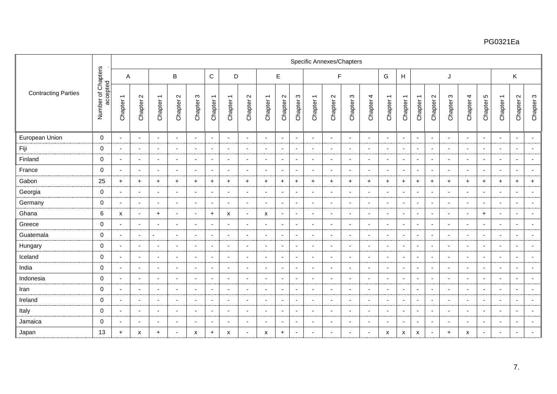|                            |                                |                          |                               |                          |                          |                          |                          |                           |                          |                                                  |                                           |                            | Specific Annexes/Chapters |                          |                          |                          |                          |                          |                          |                          |                          |                          |                          |                          |                          |                          |
|----------------------------|--------------------------------|--------------------------|-------------------------------|--------------------------|--------------------------|--------------------------|--------------------------|---------------------------|--------------------------|--------------------------------------------------|-------------------------------------------|----------------------------|---------------------------|--------------------------|--------------------------|--------------------------|--------------------------|--------------------------|--------------------------|--------------------------|--------------------------|--------------------------|--------------------------|--------------------------|--------------------------|--------------------------|
|                            |                                | Α                        |                               |                          | $\sf B$                  |                          | $\mathbf C$              | D                         |                          |                                                  | $\mathsf E$                               |                            |                           | F                        |                          |                          | G                        | H                        |                          |                          | J                        |                          |                          |                          | K                        |                          |
| <b>Contracting Parties</b> | Number of Chapters<br>accepted | Chapter 1                | $\mathbf{\Omega}$<br>Chapter: | Chapter 1                | Chapter 2                | $\infty$<br>Chapter:     | Chapter 1                | Chapter 1                 | Chapter 2                | $\overline{\phantom{0}}$<br>Chapter <sup>-</sup> | $\mathbf{\Omega}$<br>Chapter <sup>2</sup> | $\mathfrak{S}$<br>Chapter: | Chapter 1                 | Chapter 2                | $\infty$<br>Chapter:     | Chapter 4                | Chapter 1                | Chapter 1                | Chapter 1                | Chapter 2                | $\infty$<br>Chapter:     | Chapter 4                | 5<br>Chapter:            | Chapter 1                | Chapter 2                | Chapter 3                |
| European Union             | $\mathbf 0$                    | $\sim$                   | $\overline{\phantom{a}}$      | $\sim$                   | $\overline{\phantom{a}}$ | $\overline{\phantom{a}}$ | $\overline{\phantom{a}}$ | $\overline{\phantom{a}}$  | $\overline{\phantom{a}}$ | $\overline{\phantom{a}}$                         | $\overline{\phantom{a}}$                  | $\overline{\phantom{a}}$   | $\sim$                    | $\sim$                   | $\overline{\phantom{a}}$ | $\sim$                   | $\overline{\phantom{a}}$ | $\sim$                   | $\blacksquare$           | $\blacksquare$           | $\sim$                   | $\sim$                   | $\overline{\phantom{a}}$ | $\overline{\phantom{a}}$ | $\blacksquare$           | $\blacksquare$           |
| Fiji                       | $\mathbf 0$                    | $\overline{\phantom{a}}$ | <b>1</b>                      | $\overline{\phantom{a}}$ | $\overline{\phantom{a}}$ |                          | $\overline{\phantom{a}}$ | $\overline{\phantom{a}}$  | $\overline{\phantom{a}}$ |                                                  | $\overline{\phantom{a}}$                  | $\overline{\phantom{a}}$   | $\overline{\phantom{a}}$  | $\overline{\phantom{a}}$ | $\overline{\phantom{a}}$ | $\blacksquare$           | $\overline{\phantom{a}}$ | $\overline{\phantom{a}}$ | $\sim$                   | $\overline{\phantom{a}}$ |                          | $\overline{\phantom{a}}$ |                          | $\blacksquare$           | $\overline{\phantom{a}}$ | $\overline{\phantom{a}}$ |
| Finland                    | $\mathbf 0$                    | $\overline{\phantom{0}}$ | $\overline{\phantom{a}}$      | $\overline{\phantom{a}}$ | $\overline{\phantom{a}}$ | $\overline{\phantom{a}}$ | $\overline{\phantom{a}}$ | $\overline{\phantom{a}}$  | $\blacksquare$           | $\overline{\phantom{a}}$                         | $\overline{\phantom{a}}$                  | $\overline{\phantom{a}}$   | $\overline{\phantom{a}}$  | $\overline{\phantom{a}}$ | $\overline{\phantom{a}}$ | $\sim$                   | $\overline{\phantom{a}}$ | $\overline{\phantom{a}}$ | $\overline{\phantom{a}}$ | $\overline{\phantom{a}}$ |                          | $\sim$                   | $\overline{\phantom{a}}$ | $\overline{\phantom{a}}$ | $\sim$                   | $\overline{\phantom{a}}$ |
| France                     | $\Omega$                       | $\blacksquare$           |                               | $\overline{a}$           | $\overline{\phantom{a}}$ |                          | $\blacksquare$           | $\overline{a}$            | $\overline{\phantom{a}}$ |                                                  | $\overline{\phantom{a}}$                  | $\overline{\phantom{a}}$   | $\overline{a}$            | $\overline{\phantom{a}}$ |                          | $\blacksquare$           | $\overline{\phantom{a}}$ | $\overline{\phantom{a}}$ | $\overline{\phantom{a}}$ | $\blacksquare$           |                          | $\sim$                   |                          | $\overline{\phantom{a}}$ | $\sim$                   | $\sim$                   |
| Gabon                      | 25                             | $+$                      | $\ddot{}$                     | $+$                      | $+$                      | $\ddot{}$                | $+$                      | $+$                       | $+$                      | $\ddot{}$                                        | $+$                                       | $\ddot{}$                  | $+$                       | $\ddot{}$                | $\ddot{}$                | $+$                      | $\ddot{}$                | $\ddot{}$                | $+$                      | $\ddot{}$                | $\ddot{}$                | $+$                      | $\ddot{}$                | $+$                      | $+$                      | $+$                      |
| Georgia                    | $\mathbf 0$                    | $\overline{\phantom{a}}$ | $\overline{\phantom{a}}$      | $\sim$                   | $\sim$                   | $\overline{\phantom{a}}$ | $\blacksquare$           | $\sim$                    | $\overline{\phantom{a}}$ | $\overline{\phantom{a}}$                         | $\overline{\phantom{0}}$                  | $\overline{a}$             | $\sim$                    | $\overline{\phantom{a}}$ | $\overline{\phantom{0}}$ | $\sim$                   | $\overline{\phantom{a}}$ | $\overline{\phantom{a}}$ | $\sim$                   | $\overline{a}$           |                          | $\sim$                   | $\sim$                   | $\blacksquare$           | $\sim$                   | $\overline{\phantom{a}}$ |
| Germany                    | $\mathbf 0$                    | $\blacksquare$           | $\overline{\phantom{a}}$      | $\sim$                   | $\overline{\phantom{a}}$ | $\overline{\phantom{a}}$ | $\blacksquare$           | $\sim$                    | $\blacksquare$           | $\overline{\phantom{a}}$                         | $\overline{\phantom{a}}$                  | $\overline{\phantom{a}}$   | $\overline{\phantom{a}}$  | $\overline{\phantom{a}}$ | $\overline{\phantom{a}}$ | $\sim$                   | $\blacksquare$           | $\sim$                   | $\overline{\phantom{a}}$ | $\overline{\phantom{a}}$ |                          | $\sim$                   | $\overline{\phantom{a}}$ | $\blacksquare$           | $\sim$                   | $\sim$                   |
| Ghana                      | 6                              | X                        | $\overline{\phantom{a}}$      | $\ddot{}$                | $\overline{\phantom{a}}$ | $\overline{\phantom{a}}$ | $+$                      | $\boldsymbol{\mathsf{x}}$ | $\overline{\phantom{a}}$ | X                                                | $\overline{\phantom{a}}$                  | $\overline{\phantom{a}}$   | $\blacksquare$            | $\overline{\phantom{a}}$ | $\overline{\phantom{a}}$ | $\blacksquare$           | $\overline{\phantom{a}}$ | $\blacksquare$           | $\blacksquare$           | $\blacksquare$           |                          | $\blacksquare$           | $\ddot{}$                | $\blacksquare$           | $\blacksquare$           | $\overline{\phantom{a}}$ |
| Greece                     | $\mathbf 0$                    | $\overline{\phantom{0}}$ |                               | $\blacksquare$           | $\overline{\phantom{0}}$ |                          | $\overline{\phantom{a}}$ | $\overline{\phantom{a}}$  | $\overline{\phantom{a}}$ |                                                  | $\blacksquare$                            | $\overline{\phantom{a}}$   | $\overline{\phantom{a}}$  | $\overline{\phantom{a}}$ |                          | $\blacksquare$           | $\overline{\phantom{a}}$ | $\overline{\phantom{a}}$ | $\overline{\phantom{a}}$ | $\blacksquare$           |                          | $\overline{\phantom{a}}$ | $\overline{\phantom{a}}$ | $\overline{\phantom{0}}$ | $\overline{\phantom{a}}$ | $\overline{\phantom{a}}$ |
| Guatemala                  | $\mathbf 0$                    |                          | $\overline{\phantom{a}}$      |                          | $\overline{\phantom{a}}$ | $\overline{\phantom{a}}$ | $\overline{\phantom{a}}$ | $\blacksquare$            | $\blacksquare$           | $\overline{\phantom{a}}$                         | $\overline{\phantom{a}}$                  | $\overline{\phantom{a}}$   | $\blacksquare$            | $\overline{\phantom{a}}$ | $\overline{\phantom{a}}$ | $\blacksquare$           | $\overline{\phantom{a}}$ | $\sim$                   | $\overline{\phantom{a}}$ | $\overline{\phantom{a}}$ |                          | $\blacksquare$           | $\overline{\phantom{a}}$ |                          | $\sim$                   | $\overline{\phantom{a}}$ |
| Hungary                    | $\mathbf 0$                    | $\sim$                   | $\blacksquare$                | $\overline{\phantom{a}}$ | $\overline{\phantom{a}}$ | $\blacksquare$           | $\blacksquare$           | $\sim$                    | $\blacksquare$           | $\overline{\phantom{a}}$                         | $\blacksquare$                            | $\blacksquare$             | $\sim$                    | $\overline{\phantom{a}}$ | $\blacksquare$           | $\sim$                   | $\overline{\phantom{a}}$ | $\sim$                   | $\sim$                   | $\sim$                   | $\overline{\phantom{a}}$ | $\sim$                   | $\overline{\phantom{a}}$ | $\blacksquare$           | $\sim$                   | $\overline{\phantom{a}}$ |
| Iceland                    | $\mathbf 0$                    | $\overline{\phantom{a}}$ |                               | $\blacksquare$           | $\blacksquare$           |                          | $\blacksquare$           | $\sim$                    | $\blacksquare$           |                                                  | $\blacksquare$                            | $\blacksquare$             | $\blacksquare$            | $\overline{\phantom{a}}$ | $\blacksquare$           | $\blacksquare$           | $\overline{a}$           | $\blacksquare$           | $\blacksquare$           | $\blacksquare$           |                          | $\sim$                   | $\overline{\phantom{a}}$ | $\blacksquare$           | $\blacksquare$           | $\sim$                   |
| India                      | $\mathbf 0$                    | $\overline{\phantom{a}}$ | $\blacksquare$                | $\blacksquare$           | $\overline{\phantom{a}}$ | $\overline{\phantom{a}}$ | $\overline{\phantom{a}}$ | $\sim$                    | $\overline{\phantom{a}}$ | $\overline{\phantom{a}}$                         | $\overline{\phantom{a}}$                  | $\overline{\phantom{a}}$   | $\blacksquare$            | $\overline{\phantom{a}}$ | $\blacksquare$           | $\sim$                   | $\sim$                   | $\sim$                   | $\blacksquare$           | $\blacksquare$           | $\overline{a}$           | $\sim$                   | $\sim$                   | $\blacksquare$           | $\blacksquare$           | $\blacksquare$           |
| Indonesia                  | $\mathbf 0$                    | $\overline{\phantom{a}}$ | $\overline{\phantom{a}}$      | $\sim$                   | $\sim$                   | $\overline{\phantom{0}}$ | $\blacksquare$           | $\sim$                    | $\overline{\phantom{a}}$ | ۰.                                               | $\blacksquare$                            | $\overline{\phantom{a}}$   | $\sim$                    | $\overline{\phantom{a}}$ | $\overline{\phantom{a}}$ | $\sim$                   | $\overline{\phantom{a}}$ | $\sim$                   | $\sim$                   | $\sim$                   |                          | $\sim$                   | $\overline{\phantom{a}}$ | $\blacksquare$           | $\blacksquare$           | $\sim$                   |
| Iran                       | $\mathbf 0$                    |                          |                               | $\overline{\phantom{a}}$ | $\blacksquare$           |                          | $\blacksquare$           | $\overline{\phantom{a}}$  | $\blacksquare$           |                                                  | $\blacksquare$                            | $\overline{\phantom{a}}$   | $\blacksquare$            | $\overline{\phantom{a}}$ | $\overline{\phantom{a}}$ | $\blacksquare$           |                          | $\blacksquare$           | $\blacksquare$           | $\blacksquare$           |                          | $\overline{\phantom{a}}$ |                          |                          | $\blacksquare$           | $\blacksquare$           |
| Ireland                    | $\mathbf 0$                    | $\overline{a}$           | $\overline{a}$                | $\overline{\phantom{a}}$ | $\overline{\phantom{a}}$ | $\overline{\phantom{a}}$ | $\overline{\phantom{a}}$ | $\sim$                    | $\blacksquare$           | $\overline{\phantom{a}}$                         | $\blacksquare$                            | $\blacksquare$             | $\sim$                    | $\overline{\phantom{a}}$ | $\overline{\phantom{a}}$ | $\overline{\phantom{a}}$ | $\overline{\phantom{a}}$ | $\sim$                   | $\blacksquare$           | $\overline{\phantom{a}}$ |                          | $\sim$                   | $\overline{\phantom{a}}$ | $\blacksquare$           | $\blacksquare$           | $\blacksquare$           |
| Italy                      | $\mathbf 0$                    | $\blacksquare$           | $\overline{\phantom{a}}$      | $\sim$                   | $\overline{\phantom{a}}$ | $\overline{\phantom{a}}$ | $\blacksquare$           | $\sim$                    | $\blacksquare$           | $\overline{\phantom{a}}$                         | $\overline{\phantom{a}}$                  | $\overline{\phantom{a}}$   | $\sim$                    | $\overline{\phantom{a}}$ | $\overline{a}$           | $\sim$                   | $\blacksquare$           | $\overline{\phantom{a}}$ | $\overline{\phantom{a}}$ | $\sim$                   | $\overline{\phantom{a}}$ | $\sim$                   | $\overline{\phantom{a}}$ | $\overline{\phantom{a}}$ | $\blacksquare$           | $\sim$                   |
| Jamaica                    | $\mathbf 0$                    | $\blacksquare$           | $\overline{\phantom{a}}$      | $\overline{\phantom{a}}$ | $\overline{\phantom{a}}$ | $\overline{\phantom{a}}$ | $\blacksquare$           | $\sim$                    | $\blacksquare$           | $\overline{\phantom{a}}$                         | $\overline{\phantom{a}}$                  | $\blacksquare$             | $\sim$                    | $\overline{\phantom{a}}$ | $\overline{\phantom{a}}$ | $\sim$                   | $\overline{\phantom{a}}$ | $\blacksquare$           | $\blacksquare$           | $\blacksquare$           | $\overline{\phantom{0}}$ | $\sim$                   | $\overline{\phantom{a}}$ | $\blacksquare$           | $\sim$                   | $\blacksquare$           |
| Japan                      | 13                             | $+$                      | X                             | $\ddot{}$                | $\sim$                   | X                        | $+$                      | X                         | $\overline{\phantom{a}}$ | X                                                | $+$                                       | $\overline{a}$             | $\overline{\phantom{a}}$  |                          |                          | $\overline{\phantom{a}}$ | X                        | X                        | X                        | $\blacksquare$           | $\ddot{}$                | X                        | $\overline{\phantom{a}}$ | $\overline{a}$           | $\sim$                   |                          |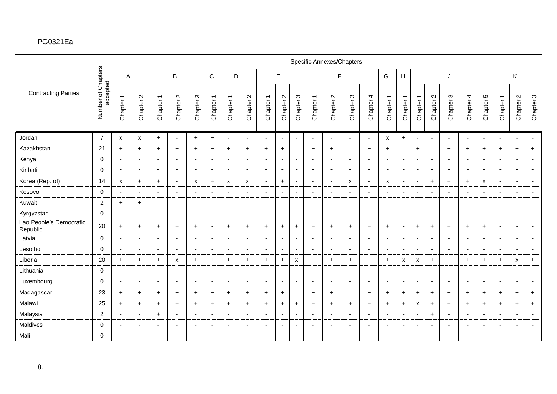|                                     |                                |                |                           |                          |                          |                           |                          |                          |                          |                          |                               |                          | Specific Annexes/Chapters |                          |                           |                          |                          |                          |                          |                          |                          |                          |                          |                          |                           |                          |
|-------------------------------------|--------------------------------|----------------|---------------------------|--------------------------|--------------------------|---------------------------|--------------------------|--------------------------|--------------------------|--------------------------|-------------------------------|--------------------------|---------------------------|--------------------------|---------------------------|--------------------------|--------------------------|--------------------------|--------------------------|--------------------------|--------------------------|--------------------------|--------------------------|--------------------------|---------------------------|--------------------------|
|                                     |                                | A              |                           |                          | $\mathsf B$              |                           | $\mathsf{C}$             | D                        |                          |                          | E                             |                          |                           | F                        |                           |                          | G                        | H                        |                          |                          | J                        |                          |                          |                          | Κ                         |                          |
| <b>Contracting Parties</b>          | Number of Chapters<br>accepted | Chapter 1      | $\sim$<br>Chapter:        | Chapter 1                | Chapter 2                | S<br>Chapter:             | Chapter 1                | Chapter 1                | Chapter 2                | Chapter 1                | $\mathbf{\Omega}$<br>Chapter: | Chapter 3                | Chapter 1                 | Chapter 2                | S<br>Chapter:             | Chapter 4                | Chapter 1                | Chapter 1                | Chapter 1                | $\sim$<br>Chapter:       | $\infty$<br>Chapter:     | Chapter 4                | 5<br>Chapter !           | Chapter 1                | Chapter 2                 | Chapter 3                |
| Jordan                              | $\overline{7}$                 | x              | $\boldsymbol{\mathsf{x}}$ | $+$                      | $\sim$                   | $\ddot{}$                 | $+$                      | $\sim$                   | $\sim$                   | $\overline{a}$           | $\overline{\phantom{a}}$      | $\sim$                   | $\overline{\phantom{a}}$  | $\sim$                   | $\overline{\phantom{a}}$  | $\sim$                   | X                        | $+$                      | $\overline{\phantom{a}}$ | $\blacksquare$           | $\overline{\phantom{a}}$ | $\sim$                   | $\sim$                   | $\overline{a}$           | $\overline{\phantom{a}}$  | $\blacksquare$           |
| Kazakhstan                          | 21                             | $+$            | $+$                       | $+$                      | $\ddot{}$                | $\ddot{}$                 | $\ddot{}$                | $+$                      | $+$                      | $+$                      | $\ddot{}$                     | $\overline{\phantom{a}}$ | $+$                       | $+$                      | $\overline{\phantom{a}}$  | $+$                      | $+$                      | $\overline{\phantom{a}}$ | $+$                      | $\blacksquare$           | $\ddot{}$                | $+$                      | $\ddot{}$                | $+$                      | $\ddot{}$                 | $+$                      |
| Kenya                               | $\mathbf 0$                    |                | $\overline{\phantom{a}}$  | $\sim$                   |                          | <b>.</b>                  | $\overline{a}$           | $\sim$                   |                          | $\overline{\phantom{a}}$ | $\overline{\phantom{a}}$      | $\overline{\phantom{a}}$ | $\sim$                    | $\overline{\phantom{a}}$ | <b>.</b>                  | $\sim$                   |                          | $\blacksquare$           | $\overline{\phantom{a}}$ | $\blacksquare$           |                          | $\sim$                   | $\overline{\phantom{a}}$ | $\overline{\phantom{a}}$ | $\sim$                    | $\sim$                   |
| Kiribati                            | $\mathsf{O}\xspace$            | $\blacksquare$ | ٠                         | $\blacksquare$           | $\blacksquare$           | ٠                         | $\overline{\phantom{a}}$ | $\overline{\phantom{a}}$ | $\blacksquare$           |                          | $\overline{\phantom{a}}$      | $\blacksquare$           | $\overline{\phantom{a}}$  | $\blacksquare$           | ٠                         | $\overline{\phantom{a}}$ |                          | $\blacksquare$           | $\blacksquare$           | $\overline{\phantom{a}}$ |                          | $\overline{\phantom{a}}$ | $\overline{\phantom{a}}$ | $\blacksquare$           | $\blacksquare$            | $\blacksquare$           |
| Korea (Rep. of)                     | 14                             | x              | $\ddot{}$                 | $+$                      | $\overline{a}$           | $\boldsymbol{\mathsf{x}}$ | $\ddot{}$                | $\mathsf{x}$             | X                        | $\overline{a}$           | $+$                           | $\sim$                   | $\overline{\phantom{a}}$  | $\blacksquare$           | $\boldsymbol{\mathsf{x}}$ | $\sim$                   | x                        | $\sim$                   | $\sim$                   | $+$                      | $\ddot{}$                | $+$                      | X                        | $\overline{a}$           | $\sim$                    | $\sim$                   |
| Kosovo                              | $\mathbf 0$                    | $\sim$         | $\overline{\phantom{a}}$  | $\sim$                   | $\sim$                   | $\overline{\phantom{a}}$  | $\sim$                   | $\overline{\phantom{a}}$ |                          | <b>1</b>                 | $\overline{\phantom{a}}$      | $\overline{\phantom{a}}$ | ÷.                        | $\overline{\phantom{a}}$ | $\overline{\phantom{a}}$  | $\sim$                   | $\sim$                   | $\sim$                   | $\sim$                   | $\overline{\phantom{a}}$ |                          | $\overline{a}$           | $\overline{\phantom{a}}$ | $\overline{\phantom{a}}$ | $\sim$                    | $\sim$                   |
| Kuwait                              | $\overline{2}$                 | $+$            | $+$                       | $\sim$                   | $\blacksquare$           | $\overline{\phantom{a}}$  | $\overline{\phantom{a}}$ | $\blacksquare$           | $\overline{\phantom{a}}$ | $\blacksquare$           | $\overline{\phantom{a}}$      | $\overline{\phantom{a}}$ | $\overline{\phantom{a}}$  | $\overline{a}$           | $\overline{\phantom{a}}$  | $\sim$                   | $\overline{\phantom{a}}$ | $\blacksquare$           | $\overline{\phantom{a}}$ | $\blacksquare$           |                          | $\sim$                   | $\overline{\phantom{a}}$ | $\blacksquare$           | $\sim$                    | $\sim$                   |
| Kyrgyzstan                          | $\mathbf 0$                    |                | $\overline{\phantom{a}}$  | $\sim$                   | $\overline{\phantom{a}}$ | $\overline{\phantom{a}}$  | $\overline{\phantom{a}}$ | $\blacksquare$           | $\blacksquare$           | $\overline{\phantom{a}}$ | $\blacksquare$                | $\overline{\phantom{a}}$ | $\sim$                    | $\overline{\phantom{a}}$ | $\overline{\phantom{a}}$  | $\sim$                   | $\overline{\phantom{a}}$ | $\blacksquare$           | $\overline{\phantom{a}}$ | $\blacksquare$           |                          | $\sim$                   | $\overline{\phantom{a}}$ | $\blacksquare$           | $\blacksquare$            | $\overline{\phantom{a}}$ |
| Lao People's Democratic<br>Republic | 20                             | $+$            | $+$                       | $+$                      | $\ddot{}$                | $+$                       | $\blacksquare$           | $\ddot{}$                | $+$                      | $+$                      | $\ddot{}$                     | $\ddot{}$                | $+$                       | $+$                      | $+$                       | $+$                      | $+$                      | $\blacksquare$           | $+$                      | $\ddot{}$                | $\ddot{}$                | $+$                      | $\ddot{}$                | $\blacksquare$           | $\blacksquare$            | $\sim$                   |
| Latvia                              | $\mathbf 0$                    |                |                           | $\blacksquare$           |                          |                           | $\overline{\phantom{a}}$ | $\blacksquare$           |                          |                          | $\overline{\phantom{a}}$      | $\overline{\phantom{a}}$ | $\blacksquare$            |                          |                           | ٠                        |                          | $\blacksquare$           | $\blacksquare$           | $\blacksquare$           |                          | $\overline{\phantom{a}}$ |                          |                          | $\blacksquare$            | $\blacksquare$           |
| Lesotho                             | $\mathbf 0$                    |                | $\overline{\phantom{a}}$  | $\overline{\phantom{a}}$ |                          | $\overline{\phantom{a}}$  | $\overline{\phantom{a}}$ | $\blacksquare$           | $\blacksquare$           | $\overline{\phantom{a}}$ | $\overline{\phantom{a}}$      | $\overline{\phantom{a}}$ | $\overline{\phantom{a}}$  |                          | $\overline{\phantom{a}}$  | $\blacksquare$           |                          | $\overline{\phantom{a}}$ | $\overline{\phantom{a}}$ | $\overline{\phantom{a}}$ |                          | $\sim$                   | $\overline{\phantom{a}}$ | $\overline{\phantom{a}}$ | $\blacksquare$            | $\sim$                   |
| Liberia                             | 20                             | $+$            | $\ddot{}$                 | $+$                      | X                        | $\ddot{}$                 | $\ddot{}$                | $\ddot{}$                | $+$                      | $+$                      | $\ddot{}$                     | X                        | $+$                       | $+$                      | $\ddot{}$                 | $+$                      | $+$                      | X                        | X                        | $\ddot{}$                | $\ddot{}$                | $+$                      | $\ddot{}$                | $+$                      | $\boldsymbol{\mathsf{x}}$ | $+$                      |
| Lithuania                           | $\mathbf 0$                    |                | ٠                         | $\blacksquare$           |                          | ٠                         | $\overline{\phantom{a}}$ | $\blacksquare$           |                          | $\overline{\phantom{a}}$ | $\sim$                        | $\overline{\phantom{a}}$ | $\blacksquare$            |                          | <b>.</b>                  | $\blacksquare$           |                          | $\blacksquare$           | $\overline{\phantom{a}}$ | $\blacksquare$           |                          | $\blacksquare$           | $\overline{\phantom{a}}$ | $\blacksquare$           | $\blacksquare$            | $\overline{\phantom{a}}$ |
| Luxembourg                          | $\mathbf 0$                    | $\sim$         | $\blacksquare$            | $\sim$                   | $\blacksquare$           | $\overline{\phantom{a}}$  | $\overline{\phantom{a}}$ | $\overline{\phantom{a}}$ | $\blacksquare$           | $\blacksquare$           | $\overline{\phantom{a}}$      | $\sim$                   | $\overline{\phantom{a}}$  | $\blacksquare$           | $\overline{\phantom{a}}$  | $\sim$                   | $\blacksquare$           | $\overline{\phantom{a}}$ | $\overline{\phantom{a}}$ | $\blacksquare$           |                          | $\sim$                   | $\overline{\phantom{a}}$ | $\overline{\phantom{a}}$ | $\sim$                    | $\sim$                   |
| Madagascar                          | 23                             | $+$            | $+$                       | $\ddot{}$                | $\ddot{}$                | $\ddot{}$                 | $\ddot{}$                | $+$                      | $+$                      | $\ddot{}$                | $+$                           | $\sim$                   | $+$                       | $+$                      | $\overline{\phantom{a}}$  | $+$                      | $+$                      | $+$                      | $\ddot{}$                | $\ddot{}$                | $\ddot{}$                | $\ddot{}$                | $\ddot{}$                | $+$                      | $\ddot{}$                 | $+$                      |
| Malawi                              | 25                             | $+$            | $\ddot{}$                 | $+$                      | $\ddot{}$                | $+$                       | $\ddot{}$                | $+$                      | $+$                      | $\ddot{}$                | $\ddot{}$                     | $\ddot{}$                | $+$                       | $+$                      | $+$                       | $+$                      | $+$                      | $+$                      | X                        | $+$                      | $\ddot{}$                | $+$                      | $\ddot{}$                | $+$                      | $\ddot{}$                 | $+$                      |
| Malaysia                            | $\overline{c}$                 | $\overline{a}$ | $\blacksquare$            | $+$                      | $\overline{\phantom{a}}$ | $\overline{\phantom{a}}$  | $\overline{\phantom{a}}$ | $\blacksquare$           | $\blacksquare$           | $\blacksquare$           | $\overline{\phantom{a}}$      | $\overline{\phantom{a}}$ | $\overline{\phantom{a}}$  | $\blacksquare$           | $\overline{\phantom{a}}$  | $\blacksquare$           | $\overline{\phantom{a}}$ | ٠                        | $\overline{\phantom{a}}$ | $\ddot{}$                |                          | $\sim$                   |                          | $\blacksquare$           | $\blacksquare$            | $\blacksquare$           |
| Maldives                            | $\mathbf 0$                    |                | $\overline{\phantom{a}}$  | $\overline{\phantom{a}}$ |                          | $\overline{\phantom{a}}$  | $\overline{\phantom{a}}$ | $\overline{\phantom{a}}$ |                          |                          | $\overline{\phantom{a}}$      | $\overline{\phantom{a}}$ | $\overline{\phantom{a}}$  |                          | $\overline{\phantom{a}}$  | $\overline{\phantom{a}}$ |                          | $\overline{\phantom{a}}$ | $\overline{\phantom{a}}$ | $\overline{\phantom{a}}$ |                          | $\blacksquare$           | $\overline{\phantom{a}}$ |                          | $\blacksquare$            | $\overline{\phantom{a}}$ |
| Mali                                | $\pmb{0}$                      |                | $\overline{\phantom{a}}$  | $\blacksquare$           |                          | $\blacksquare$            | $\overline{\phantom{a}}$ | $\blacksquare$           |                          |                          | $\blacksquare$                | $\blacksquare$           | $\blacksquare$            |                          | $\overline{\phantom{a}}$  | $\overline{\phantom{a}}$ |                          | $\blacksquare$           | $\blacksquare$           | $\blacksquare$           |                          | $\blacksquare$           | $\overline{\phantom{a}}$ | $\blacksquare$           | $\sim$                    |                          |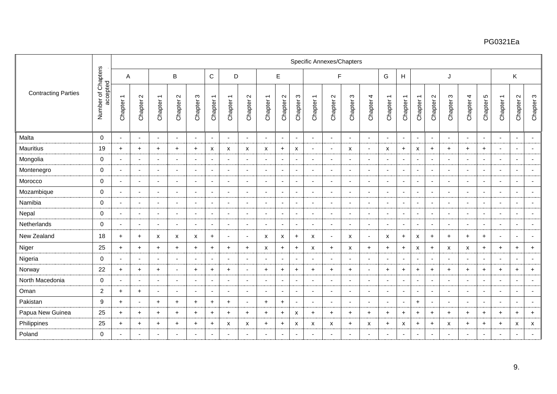|                            |                                |                          |                              |                           |                                           |                          |                          |                           |                                           |                                     |                               |                          | Specific Annexes/Chapters |                                 |                           |                           |                          |                          |                                                  |                                             |                          |                          |                          |                          |                          |                          |
|----------------------------|--------------------------------|--------------------------|------------------------------|---------------------------|-------------------------------------------|--------------------------|--------------------------|---------------------------|-------------------------------------------|-------------------------------------|-------------------------------|--------------------------|---------------------------|---------------------------------|---------------------------|---------------------------|--------------------------|--------------------------|--------------------------------------------------|---------------------------------------------|--------------------------|--------------------------|--------------------------|--------------------------|--------------------------|--------------------------|
|                            |                                | Α                        |                              |                           | $\sf B$                                   |                          | $\mathbf C$              | D                         |                                           |                                     | $\mathsf E$                   |                          |                           | F                               |                           |                           | G                        | H                        |                                                  |                                             | J                        |                          |                          |                          | K                        |                          |
| <b>Contracting Parties</b> | Number of Chapters<br>accepted | Chapter 1                | $\mathbf{\Omega}$<br>Chapter | Chapter 1                 | $\mathbf{\Omega}$<br>Chapter <sup>2</sup> | S<br>Chapter             | Chapter 1                | Chapter 1                 | $\mathbf{\Omega}$<br>Chapter <sup>2</sup> | $\overline{\phantom{0}}$<br>Chapter | $\mathbf{\Omega}$<br>Chapter: | $\infty$<br>Chapter:     | Chapter 1                 | $\boldsymbol{\sim}$<br>Chapter: | S<br>Chapter              | Chapter 4                 | Chapter 1                | Chapter 1                | $\overline{\phantom{0}}$<br>Chapter <sup>-</sup> | $\boldsymbol{\sim}$<br>Chapter <sup>2</sup> | $\infty$<br>Chapter:     | Chapter 4                | 5<br>Chapter !           | Chapter 1                | Chapter 2                | Chapter 3                |
| Malta                      | $\mathbf 0$                    | $\blacksquare$           |                              | $\overline{\phantom{a}}$  | $\overline{\phantom{a}}$                  |                          | $\overline{\phantom{a}}$ | $\overline{\phantom{a}}$  | $\overline{\phantom{a}}$                  |                                     | $\overline{\phantom{a}}$      | $\overline{\phantom{a}}$ | $\overline{\phantom{a}}$  | $\overline{\phantom{a}}$        |                           | $\overline{\phantom{a}}$  | $\overline{\phantom{a}}$ | $\blacksquare$           | $\sim$                                           | $\overline{\phantom{a}}$                    |                          | $\sim$                   |                          | $\overline{\phantom{a}}$ | $\sim$                   | $\overline{\phantom{a}}$ |
| Mauritius                  | 19                             | $+$                      | $\ddot{}$                    | $+$                       | $+$                                       | $\ddot{}$                | X                        | $\boldsymbol{\mathsf{x}}$ | X                                         | X                                   | $+$                           | X                        | $\sim$                    | $\overline{\phantom{a}}$        | $\boldsymbol{\mathsf{x}}$ | $\sim$                    | X                        | $+$                      | X                                                | $\ddot{}$                                   | $\ddot{}$                | $\ddot{}$                | $\ddot{}$                | $\blacksquare$           | $\sim$                   | $\blacksquare$           |
| Mongolia                   | $\mathbf 0$                    | $\overline{a}$           | $\overline{\phantom{a}}$     | $\overline{a}$            | $\overline{\phantom{a}}$                  | $\overline{\phantom{a}}$ | $\overline{\phantom{a}}$ | $\overline{\phantom{a}}$  | $\overline{\phantom{a}}$                  | $\overline{\phantom{a}}$            | ٠                             |                          | $\sim$                    | $\overline{\phantom{a}}$        | $\overline{\phantom{a}}$  | $\sim$                    | $\overline{\phantom{a}}$ | $\blacksquare$           | $\blacksquare$                                   | $\blacksquare$                              |                          | $\sim$                   | $\overline{\phantom{a}}$ | $\overline{\phantom{0}}$ | $\sim$                   | $\sim$                   |
| Montenegro                 | $\mathbf 0$                    | $\blacksquare$           |                              | $\blacksquare$            | $\overline{\phantom{a}}$                  |                          | $\overline{\phantom{a}}$ | $\blacksquare$            | $\blacksquare$                            |                                     |                               |                          | $\blacksquare$            | $\overline{\phantom{a}}$        | $\overline{\phantom{a}}$  | $\sim$                    | $\overline{\phantom{a}}$ | $\overline{\phantom{a}}$ | $\overline{\phantom{a}}$                         | $\overline{\phantom{a}}$                    |                          | $\blacksquare$           |                          |                          | $\sim$                   | $\overline{\phantom{a}}$ |
| Morocco                    | 0                              | $\sim$                   | $\overline{\phantom{a}}$     | $\sim$                    | $\sim$                                    | $\overline{\phantom{a}}$ | $\blacksquare$           | $\sim$                    | $\overline{\phantom{a}}$                  | $\overline{\phantom{a}}$            | $\blacksquare$                | $\overline{\phantom{a}}$ | $\sim$                    | $\sim$                          | $\overline{\phantom{a}}$  | $\sim$                    | $\sim$                   | $\sim$                   | $\sim$                                           | $\overline{\phantom{a}}$                    | $\overline{\phantom{a}}$ | $\sim$                   | $\sim$                   | $\blacksquare$           | $\sim$                   | $\overline{\phantom{a}}$ |
| Mozambique                 | $\mathbf 0$                    | $\overline{\phantom{a}}$ |                              | $\blacksquare$            | $\overline{\phantom{a}}$                  | <b>.</b>                 | $\overline{\phantom{a}}$ | $\overline{\phantom{a}}$  | $\overline{\phantom{a}}$                  |                                     | $\overline{\phantom{a}}$      | $\overline{\phantom{a}}$ | $\overline{\phantom{a}}$  | $\overline{\phantom{a}}$        | $\overline{\phantom{a}}$  | $\overline{\phantom{a}}$  | $\overline{\phantom{a}}$ | $\overline{\phantom{a}}$ | $\overline{\phantom{a}}$                         | $\overline{\phantom{a}}$                    |                          | $\overline{\phantom{a}}$ |                          | $\overline{\phantom{a}}$ | $\blacksquare$           | $\sim$                   |
| Namibia                    | $\mathbf 0$                    | $\blacksquare$           |                              | $\blacksquare$            | $\overline{\phantom{a}}$                  |                          | -                        | $\overline{\phantom{a}}$  | $\overline{\phantom{a}}$                  |                                     | $\overline{\phantom{a}}$      |                          | $\overline{\phantom{a}}$  | $\overline{\phantom{a}}$        |                           | $\overline{\phantom{a}}$  | $\overline{\phantom{a}}$ | $\overline{\phantom{a}}$ | $\overline{\phantom{a}}$                         | $\overline{\phantom{a}}$                    |                          | $\overline{\phantom{a}}$ |                          |                          | $\overline{\phantom{a}}$ |                          |
| Nepal                      | $\mathbf 0$                    | $\overline{a}$           |                              | $\blacksquare$            | $\overline{\phantom{a}}$                  |                          | $\blacksquare$           | $\blacksquare$            | $\overline{\phantom{a}}$                  |                                     | $\overline{\phantom{a}}$      | $\overline{\phantom{a}}$ | $\blacksquare$            | $\overline{\phantom{a}}$        |                           | $\blacksquare$            | $\overline{\phantom{a}}$ | $\overline{\phantom{a}}$ | $\overline{\phantom{a}}$                         | $\blacksquare$                              |                          | $\blacksquare$           | $\overline{\phantom{a}}$ |                          | $\overline{\phantom{a}}$ | $\blacksquare$           |
| Netherlands                | $\mathbf 0$                    | $\overline{\phantom{a}}$ | $\overline{\phantom{a}}$     | $\overline{\phantom{a}}$  | $\overline{\phantom{a}}$                  | $\overline{\phantom{a}}$ | $\overline{\phantom{a}}$ | $\sim$                    | $\overline{\phantom{a}}$                  | $\overline{\phantom{a}}$            |                               |                          | $\overline{\phantom{a}}$  | $\overline{\phantom{a}}$        | $\overline{\phantom{a}}$  | $\sim$                    | $\overline{\phantom{a}}$ | $\overline{\phantom{a}}$ | $\overline{\phantom{a}}$                         | $\blacksquare$                              |                          | $\sim$                   | $\overline{\phantom{a}}$ | $\overline{\phantom{a}}$ | $\sim$                   | $\blacksquare$           |
| New Zealand                | 18                             | $+$                      | $\ddot{}$                    | $\boldsymbol{\mathsf{x}}$ | X                                         | X                        | $\ddot{}$                | $\sim$                    | $\overline{\phantom{a}}$                  | $\boldsymbol{\mathsf{x}}$           | X                             | $\ddot{}$                | $\boldsymbol{\mathsf{x}}$ | $\sim$                          | $\boldsymbol{\mathsf{x}}$ | $\sim$                    | X                        | $+$                      | $\boldsymbol{\mathsf{x}}$                        | $\ddot{}$                                   | $\ddot{}$                | $+$                      | $+$                      | $\overline{\phantom{a}}$ | $\blacksquare$           | $\sim$                   |
| Niger                      | 25                             | $+$                      | $\ddot{}$                    | $\ddot{}$                 | $+$                                       | $\ddot{}$                | $+$                      | $+$                       | $+$                                       | х                                   | $+$                           | $+$                      | X                         | $\ddot{}$                       | x                         | $+$                       | $+$                      | $+$                      | X                                                | $\ddot{}$                                   | x                        | X                        | $\ddot{}$                | $\ddot{}$                | $\ddot{}$                | $+$                      |
| Nigeria                    | $\mathbf 0$                    |                          | $\overline{\phantom{a}}$     | $\blacksquare$            | $\blacksquare$                            | $\overline{\phantom{a}}$ | ٠                        | $\blacksquare$            | $\overline{\phantom{a}}$                  |                                     |                               |                          | $\blacksquare$            | $\overline{\phantom{a}}$        | $\blacksquare$            | $\blacksquare$            | $\blacksquare$           | $\blacksquare$           | $\blacksquare$                                   | $\overline{\phantom{a}}$                    |                          | $\blacksquare$           |                          |                          | $\blacksquare$           | $\overline{\phantom{a}}$ |
| Norway                     | 22                             | $+$                      | $\ddot{}$                    | $+$                       | $\overline{\phantom{a}}$                  | $\ddot{}$                | $+$                      | $+$                       | $\overline{\phantom{a}}$                  | $\ddot{}$                           | $+$                           | $+$                      | $+$                       | $+$                             | $+$                       | $\sim$                    | $+$                      | $+$                      | $+$                                              | $+$                                         | $\ddot{}$                | $\ddot{}$                | $\ddot{}$                | $+$                      | $\ddot{}$                | $+$                      |
| North Macedonia            | $\mathbf 0$                    | $\overline{a}$           | $\overline{\phantom{a}}$     | $\sim$                    | $\overline{\phantom{a}}$                  | $\overline{\phantom{a}}$ | $\blacksquare$           | $\overline{\phantom{a}}$  | $\blacksquare$                            | $\overline{\phantom{a}}$            | $\blacksquare$                | $\blacksquare$           | $\overline{\phantom{a}}$  | $\overline{\phantom{a}}$        | $\blacksquare$            | $\sim$                    | $\overline{\phantom{a}}$ | $\sim$                   | $\overline{\phantom{a}}$                         | $\sim$                                      |                          | $\sim$                   | $\overline{\phantom{a}}$ | $\blacksquare$           | $\sim$                   | $\sim$                   |
| Oman                       | $\overline{2}$                 | $+$                      | $\ddot{}$                    | $\overline{\phantom{a}}$  | $\overline{\phantom{a}}$                  |                          | $\overline{\phantom{a}}$ | $\overline{\phantom{a}}$  | $\overline{\phantom{a}}$                  |                                     | $\overline{\phantom{a}}$      | $\overline{\phantom{a}}$ | $\overline{\phantom{a}}$  | $\overline{\phantom{a}}$        | $\overline{\phantom{a}}$  | $\overline{\phantom{a}}$  | $\overline{\phantom{a}}$ | $\blacksquare$           | $\blacksquare$                                   | $\blacksquare$                              |                          | $\overline{\phantom{a}}$ |                          | $\blacksquare$           | $\blacksquare$           | $\overline{\phantom{a}}$ |
| Pakistan                   | 9                              | $+$                      |                              | $+$                       | $+$                                       | $\ddot{}$                | $+$                      | $+$                       | $\overline{\phantom{a}}$                  | $\ddot{}$                           | $+$                           | $\overline{\phantom{a}}$ | $\blacksquare$            | ۰.                              |                           | $\sim$                    | $\overline{\phantom{a}}$ | $\sim$                   | $+$                                              | $\blacksquare$                              |                          | $\overline{\phantom{a}}$ | $\overline{\phantom{a}}$ |                          | $\overline{\phantom{a}}$ | $\overline{\phantom{a}}$ |
| Papua New Guinea           | 25                             | $+$                      | $\ddot{}$                    | $+$                       | $+$                                       | $\ddot{}$                | $\ddot{}$                | $\ddot{}$                 | $+$                                       | $+$                                 | $+$                           | X                        | $+$                       | $+$                             | $\ddot{}$                 | $+$                       | $+$                      | $+$                      | $+$                                              | $\ddot{}$                                   | $+$                      | $+$                      | $\ddot{}$                | $+$                      | $+$                      | $+$                      |
| Philippines                | 25                             | $+$                      | $\ddot{}$                    | $\ddot{}$                 | $\ddot{}$                                 | $\ddot{}$                | $+$                      | X                         | X                                         | $\ddot{}$                           | $\ddot{}$                     | X                        | X                         | X                               | $\ddot{}$                 | $\boldsymbol{\mathsf{x}}$ | $\ddot{}$                | X                        | $+$                                              | $\ddot{}$                                   | X                        | $\ddot{}$                | $\ddot{}$                | $\ddot{}$                | X                        | X                        |
| Poland                     | $\mathbf 0$                    |                          |                              | $\overline{\phantom{a}}$  |                                           |                          |                          | $\overline{\phantom{a}}$  |                                           |                                     | $\blacksquare$                |                          | $\overline{\phantom{a}}$  |                                 |                           | $\overline{\phantom{a}}$  |                          | $\overline{\phantom{a}}$ | $\sim$                                           | $\overline{\phantom{a}}$                    |                          | $\overline{\phantom{a}}$ | $\overline{\phantom{a}}$ |                          | $\overline{\phantom{a}}$ |                          |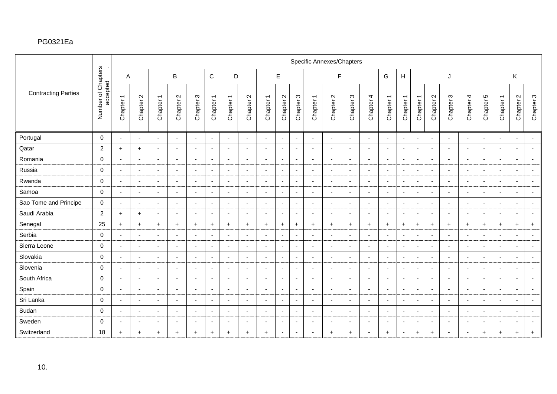|                            |                                |                          |                              |                          |                          |                          |                          |                          |                          |                                        |                               |                            |                          | Specific Annexes/Chapters                 |                          |                          |                          |                          |                          |                               |                          |                          |                           |                          |                |                          |
|----------------------------|--------------------------------|--------------------------|------------------------------|--------------------------|--------------------------|--------------------------|--------------------------|--------------------------|--------------------------|----------------------------------------|-------------------------------|----------------------------|--------------------------|-------------------------------------------|--------------------------|--------------------------|--------------------------|--------------------------|--------------------------|-------------------------------|--------------------------|--------------------------|---------------------------|--------------------------|----------------|--------------------------|
|                            |                                | A                        |                              |                          | B                        |                          | $\mathsf C$              | D                        |                          |                                        | E                             |                            |                          | F                                         |                          |                          | G                        | H                        |                          |                               | J                        |                          |                           |                          | K              |                          |
| <b>Contracting Parties</b> | Number of Chapters<br>accepted | Chapter 1                | $\mathbf{\Omega}$<br>Chapter | Chapter 1                | Chapter 2                | S<br>Chapter:            | Chapter 1                | Chapter 1                | Chapter 2                | $\overline{ }$<br>Chapter <sup>-</sup> | $\mathbf{\Omega}$<br>Chapter: | $\mathfrak{S}$<br>Chapter: | Chapter 1                | $\mathbf{\Omega}$<br>Chapter <sub>2</sub> | S<br>Chapter:            | Chapter 4                | Chapter 1                | Chapter 1                | Chapter 1                | $\mathbf{\Omega}$<br>Chapter: | S<br>Chapter             | Chapter 4                | Ю<br>Chapter <sup>1</sup> | Chapter 1                | Chapter 2      | Chapter 3                |
| Portugal                   | $\mathbf 0$                    | $\overline{\phantom{a}}$ | $\overline{\phantom{a}}$     | $\blacksquare$           | $\overline{\phantom{a}}$ | $\overline{\phantom{a}}$ | $\overline{\phantom{a}}$ | $\blacksquare$           | $\overline{\phantom{a}}$ | $\overline{\phantom{a}}$               | $\blacksquare$                | $\blacksquare$             | $\blacksquare$           | $\overline{\phantom{a}}$                  | $\overline{\phantom{a}}$ | $\blacksquare$           | $\sim$                   | $\overline{\phantom{a}}$ | $\overline{\phantom{a}}$ | $\blacksquare$                | $\overline{\phantom{a}}$ | $\blacksquare$           |                           | $\overline{\phantom{a}}$ | $\blacksquare$ | $\overline{\phantom{a}}$ |
| Qatar                      | 2                              | $+$                      | $\ddot{}$                    | $\blacksquare$           | $\overline{\phantom{a}}$ |                          | $\overline{\phantom{a}}$ | $\overline{\phantom{a}}$ | $\overline{\phantom{a}}$ |                                        | $\overline{\phantom{a}}$      | $\sim$                     | $\overline{\phantom{0}}$ |                                           |                          | $\overline{\phantom{a}}$ |                          | $\sim$                   | $\overline{\phantom{a}}$ | $\overline{\phantom{a}}$      |                          | $\overline{a}$           |                           | $\overline{\phantom{a}}$ | $\sim$         |                          |
| Romania                    | $\mathbf 0$                    | $\overline{\phantom{a}}$ | $\overline{\phantom{a}}$     | $\blacksquare$           |                          |                          | $\overline{\phantom{a}}$ | $\blacksquare$           | $\blacksquare$           |                                        | $\blacksquare$                | $\overline{\phantom{a}}$   | $\blacksquare$           |                                           | $\overline{\phantom{a}}$ | $\overline{\phantom{a}}$ |                          | $\overline{\phantom{a}}$ | $\blacksquare$           | $\blacksquare$                |                          | $\overline{\phantom{a}}$ |                           | $\overline{\phantom{a}}$ | $\sim$         | $\overline{\phantom{a}}$ |
| Russia                     | $\mathbf 0$                    | $\blacksquare$           | $\overline{\phantom{a}}$     | $\blacksquare$           | $\overline{\phantom{a}}$ | $\overline{\phantom{a}}$ | $\overline{\phantom{a}}$ | $\sim$                   | $\overline{\phantom{a}}$ | $\overline{\phantom{a}}$               | $\overline{\phantom{a}}$      | $\overline{\phantom{a}}$   | $\blacksquare$           | $\overline{a}$                            | <b>.</b>                 | $\blacksquare$           | $\overline{\phantom{a}}$ | $\blacksquare$           | $\overline{\phantom{a}}$ | $\blacksquare$                | $\overline{\phantom{a}}$ | $\sim$                   | $\overline{\phantom{a}}$  | $\overline{\phantom{a}}$ | $\blacksquare$ | $\blacksquare$           |
| Rwanda                     | $\mathbf 0$                    | $\overline{a}$           | $\overline{\phantom{a}}$     | $\blacksquare$           | $\sim$                   | $\overline{\phantom{a}}$ | $\overline{\phantom{a}}$ | $\blacksquare$           | $\blacksquare$           | $\blacksquare$                         | $\overline{\phantom{a}}$      | $\sim$                     | $\blacksquare$           |                                           | $\overline{\phantom{a}}$ | $\blacksquare$           |                          | $\blacksquare$           | $\overline{\phantom{a}}$ | $\blacksquare$                |                          | $\blacksquare$           | $\blacksquare$            | $\overline{\phantom{a}}$ | $\blacksquare$ |                          |
| Samoa                      | 0                              | $\overline{\phantom{a}}$ | $\overline{\phantom{a}}$     | $\blacksquare$           | $\overline{\phantom{a}}$ | $\blacksquare$           | $\blacksquare$           | $\blacksquare$           | $\overline{\phantom{a}}$ | $\blacksquare$                         | $\overline{\phantom{a}}$      | $\overline{\phantom{a}}$   | $\blacksquare$           | $\overline{\phantom{a}}$                  | $\overline{\phantom{a}}$ | $\blacksquare$           | $\sim$                   | $\overline{\phantom{a}}$ | $\blacksquare$           | $\blacksquare$                |                          | $\blacksquare$           | $\overline{\phantom{a}}$  | $\overline{\phantom{a}}$ | $\blacksquare$ | $\overline{\phantom{a}}$ |
| Sao Tome and Principe      | $\mathbf 0$                    | $\sim$                   | ٠.                           | $\blacksquare$           | $\overline{\phantom{a}}$ | $\overline{\phantom{a}}$ | $\overline{\phantom{a}}$ | $\overline{\phantom{a}}$ | $\overline{\phantom{a}}$ | $\overline{a}$                         | $\overline{\phantom{a}}$      | $\overline{\phantom{a}}$   | $\sim$                   | $\blacksquare$                            | <b>.</b>                 | $\blacksquare$           | $\overline{a}$           | $\sim$                   | $\blacksquare$           | $\blacksquare$                | $\overline{\phantom{a}}$ | $\overline{\phantom{a}}$ | $\overline{\phantom{a}}$  | $\sim$                   | $\sim$         | $\overline{\phantom{a}}$ |
| Saudi Arabia               | $\overline{2}$                 | $+$                      | $+$                          | $\blacksquare$           |                          |                          | $\overline{\phantom{a}}$ | $\overline{\phantom{a}}$ |                          |                                        | $\overline{\phantom{a}}$      | $\overline{\phantom{a}}$   | $\blacksquare$           |                                           |                          | $\overline{\phantom{a}}$ |                          | $\overline{\phantom{a}}$ | $\overline{\phantom{0}}$ | $\overline{\phantom{a}}$      |                          | $\overline{\phantom{a}}$ |                           |                          | $\sim$         | $\overline{\phantom{a}}$ |
| Senegal                    | 25                             | $+$                      | $\ddot{}$                    | $+$                      | $\ddot{}$                | $\ddot{}$                | $\ddot{}$                | $+$                      | $+$                      | $+$                                    | $\ddot{}$                     | $\ddot{}$                  | $+$                      | $\ddot{}$                                 | $\ddot{}$                | $+$                      | $\ddot{}$                | $\ddot{}$                | $+$                      | $\ddot{}$                     | $\ddot{}$                | $+$                      | $\ddot{}$                 | $+$                      | $+$            | $+$                      |
| Serbia                     | $\mathbf 0$                    | $\overline{a}$           | $\overline{\phantom{a}}$     | $\mathbf{r}$             | $\overline{\phantom{0}}$ | $\blacksquare$           | $\overline{\phantom{a}}$ | $\sim$                   | $\overline{\phantom{a}}$ | $\overline{\phantom{a}}$               | $\overline{\phantom{a}}$      | $\overline{\phantom{a}}$   | $\sim$                   | $\overline{a}$                            | $\overline{\phantom{a}}$ | $\sim$                   | $\overline{a}$           | $\blacksquare$           | $\blacksquare$           | $\blacksquare$                | $\overline{\phantom{a}}$ | $\sim$                   | $\overline{\phantom{a}}$  | $\overline{a}$           | $\blacksquare$ | $\blacksquare$           |
| Sierra Leone               | $\mathbf 0$                    | $\blacksquare$           | ×,                           | $\blacksquare$           |                          | ÷                        | $\overline{\phantom{a}}$ | $\blacksquare$           | $\blacksquare$           | $\overline{\phantom{a}}$               | $\overline{\phantom{a}}$      | $\overline{\phantom{a}}$   | $\blacksquare$           |                                           | $\overline{\phantom{a}}$ | $\blacksquare$           |                          | $\overline{\phantom{a}}$ | $\overline{\phantom{a}}$ | $\overline{\phantom{a}}$      |                          | $\blacksquare$           | $\overline{\phantom{a}}$  | $\overline{\phantom{a}}$ | $\blacksquare$ | $\overline{\phantom{a}}$ |
| Slovakia                   | $\mathbf 0$                    | $\overline{\phantom{a}}$ | $\overline{\phantom{a}}$     | $\overline{\phantom{a}}$ | $\overline{\phantom{a}}$ | $\overline{\phantom{a}}$ | $\sim$                   | $\overline{\phantom{a}}$ | $\overline{\phantom{a}}$ | $\blacksquare$                         | $\sim$                        | $\sim$                     | $\blacksquare$           | $\sim$                                    | $\overline{\phantom{a}}$ | $\overline{\phantom{a}}$ | $\sim$                   | $\sim$                   | $\overline{\phantom{a}}$ | $\overline{\phantom{a}}$      | $\overline{\phantom{a}}$ | $\sim$                   | $\overline{\phantom{a}}$  | $\sim$                   | $\sim$         | $\blacksquare$           |
| Slovenia                   | $\mathbf 0$                    | $\overline{\phantom{0}}$ | $\overline{\phantom{a}}$     | $\blacksquare$           | $\overline{\phantom{a}}$ | $\overline{\phantom{a}}$ | $\overline{\phantom{a}}$ | $\overline{\phantom{a}}$ | $\overline{\phantom{a}}$ | $\overline{a}$                         | $\overline{\phantom{a}}$      | $\sim$                     | $\overline{\phantom{a}}$ | $\overline{a}$                            | $\overline{\phantom{a}}$ | $\blacksquare$           | $\overline{a}$           | $\overline{\phantom{a}}$ | $\overline{\phantom{a}}$ | $\blacksquare$                | $\overline{\phantom{a}}$ | $\sim$                   | $\overline{\phantom{a}}$  | $\overline{\phantom{a}}$ | $\sim$         | $\overline{\phantom{a}}$ |
| South Africa               | $\mathbf 0$                    | $\overline{a}$           | $\overline{\phantom{a}}$     | $\blacksquare$           |                          |                          | $\overline{\phantom{a}}$ | $\overline{\phantom{a}}$ | $\overline{\phantom{0}}$ |                                        | $\overline{\phantom{a}}$      | $\overline{\phantom{a}}$   | $\overline{\phantom{a}}$ |                                           | ٠                        | $\overline{\phantom{a}}$ |                          | $\overline{\phantom{a}}$ | $\blacksquare$           | $\blacksquare$                |                          | $\blacksquare$           |                           | $\overline{\phantom{a}}$ | $\sim$         | $\overline{\phantom{a}}$ |
| Spain                      | $\mathbf 0$                    | $\overline{a}$           | $\overline{\phantom{a}}$     | $\blacksquare$           | $\overline{\phantom{a}}$ | ۰.                       | $\overline{\phantom{a}}$ | $\blacksquare$           | $\overline{\phantom{0}}$ | $\overline{\phantom{a}}$               | $\overline{\phantom{a}}$      | $\sim$                     | $\blacksquare$           |                                           | $\overline{\phantom{0}}$ | $\blacksquare$           | $\overline{a}$           | $\sim$                   | $\blacksquare$           | $\blacksquare$                |                          | $\sim$                   | $\sim$                    | $\overline{a}$           | $\sim$         | $\blacksquare$           |
| Sri Lanka                  | $\mathbf 0$                    | $\overline{\phantom{a}}$ | $\overline{\phantom{a}}$     | $\blacksquare$           | $\overline{\phantom{a}}$ | $\overline{\phantom{a}}$ | $\overline{\phantom{a}}$ | $\blacksquare$           | $\overline{\phantom{a}}$ | $\overline{\phantom{a}}$               | $\overline{\phantom{a}}$      | $\sim$                     | $\sim$                   | $\overline{a}$                            | $\overline{\phantom{a}}$ | $\blacksquare$           | $\overline{\phantom{a}}$ | $\blacksquare$           | $\overline{\phantom{a}}$ | $\overline{\phantom{a}}$      | $\overline{\phantom{a}}$ | $\blacksquare$           | $\overline{\phantom{a}}$  | $\overline{\phantom{a}}$ | $\blacksquare$ | $\overline{\phantom{a}}$ |
| Sudan                      | $\mathbf 0$                    |                          | ٠.                           | $\blacksquare$           |                          | $\blacksquare$           | $\blacksquare$           | $\blacksquare$           |                          | $\overline{\phantom{a}}$               | $\blacksquare$                | $\blacksquare$             | $\blacksquare$           |                                           | $\overline{\phantom{a}}$ | $\overline{\phantom{a}}$ |                          | $\blacksquare$           |                          | $\blacksquare$                |                          | $\sim$                   |                           |                          | $\blacksquare$ | $\blacksquare$           |
| Sweden                     | $\mathbf 0$                    | $\overline{a}$           | $\overline{\phantom{a}}$     | $\sim$                   | $\overline{\phantom{a}}$ | $\overline{\phantom{a}}$ | $\overline{\phantom{a}}$ | $\overline{\phantom{a}}$ | $\overline{a}$           | $\overline{a}$                         | $\overline{\phantom{a}}$      | $\overline{\phantom{a}}$   | $\sim$                   |                                           | <b>.</b>                 | $\sim$                   | $\overline{\phantom{a}}$ | $\sim$                   | $\overline{\phantom{a}}$ | $\overline{\phantom{a}}$      | $\overline{\phantom{a}}$ | $\sim$                   | $\overline{a}$            | $\overline{a}$           | $\sim$         | $\overline{\phantom{a}}$ |
| Switzerland                | 18                             | $+$                      | $\ddot{}$                    | $+$                      | $\ddot{}$                | $\ddot{}$                | $+$                      | $\ddot{}$                | $+$                      | $\ddot{}$                              | $\overline{\phantom{a}}$      | $\overline{\phantom{a}}$   | $\blacksquare$           | $\pm$                                     | $+$                      | $\blacksquare$           | $\pm$                    | $\overline{\phantom{a}}$ | $+$                      | $+$                           |                          | $\blacksquare$           | $\ddot{}$                 | $\ddot{}$                | $\ddot{}$      | $\ddot{}$                |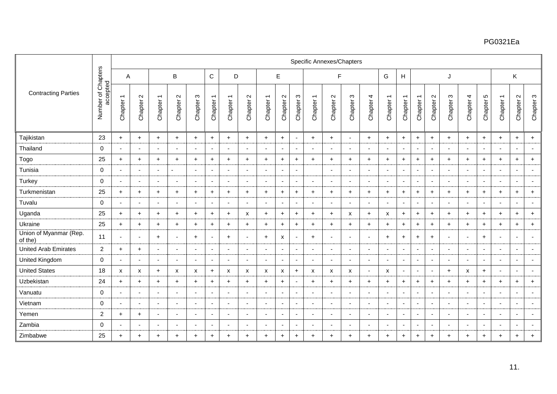|                                   |                                |                          |                          |                          |                                |                          |                          |                           |                               |                                                  |                               |                           |                                                  |                                | <b>Specific Annexes/Chapters</b> |                          |                          |                                                  |                                                  |                               |                          |                          |                          |                |                                |                            |
|-----------------------------------|--------------------------------|--------------------------|--------------------------|--------------------------|--------------------------------|--------------------------|--------------------------|---------------------------|-------------------------------|--------------------------------------------------|-------------------------------|---------------------------|--------------------------------------------------|--------------------------------|----------------------------------|--------------------------|--------------------------|--------------------------------------------------|--------------------------------------------------|-------------------------------|--------------------------|--------------------------|--------------------------|----------------|--------------------------------|----------------------------|
|                                   |                                | A                        |                          |                          | B                              |                          | $\mathsf{C}$             | D                         |                               |                                                  | E                             |                           |                                                  | F                              |                                  |                          | G                        | H                                                |                                                  |                               | J                        |                          |                          |                | K                              |                            |
| <b>Contracting Parties</b>        | Number of Chapters<br>accepted | Chapter 1                | $\sim$<br>Chapter:       | Chapter 1                | $\boldsymbol{\sim}$<br>Chapter | S<br>Chapter:            | Chapter 1                | Chapter 1                 | $\mathbf{\Omega}$<br>Chapter: | $\overline{\phantom{0}}$<br>Chapter <sup>-</sup> | $\mathbf{\Omega}$<br>Chapter: | S<br>Chapter <sup>:</sup> | $\overline{\phantom{0}}$<br>Chapter <sup>-</sup> | $\boldsymbol{\sim}$<br>Chapter | S<br>Chapter:                    | Chapter 4                | Chapter 1                | $\overline{\phantom{0}}$<br>Chapter <sup>-</sup> | $\overline{\phantom{0}}$<br>Chapter <sup>-</sup> | $\mathbf{\Omega}$<br>Chapter: | $\infty$<br>Chapter:     | Chapter 4                | 5<br>Chapter!            | Chapter 1      | $\sim$<br>Chapter <sup>2</sup> | $\mathfrak{S}$<br>Chapter: |
| Tajikistan                        | 23                             | $+$                      | $\ddot{}$                | $+$                      | $+$                            | $\ddot{}$                | $+$                      | $+$                       | $+$                           | $\ddot{}$                                        | $\ddot{}$                     | $\overline{\phantom{a}}$  | $+$                                              | $+$                            |                                  | $+$                      | $+$                      | $+$                                              | $+$                                              | $+$                           | $\ddot{}$                | $+$                      | $\ddot{}$                | $+$            | $\ddot{}$                      | $+$                        |
| Thailand                          | $\mathbf 0$                    | $\sim$                   | $\overline{\phantom{a}}$ | $\sim$                   | $\overline{\phantom{a}}$       | $\overline{\phantom{a}}$ | $\overline{\phantom{a}}$ | $\blacksquare$            | $\blacksquare$                | $\overline{\phantom{a}}$                         | $\overline{\phantom{a}}$      | $\sim$                    | $\sim$                                           | $\overline{\phantom{a}}$       | $\overline{\phantom{a}}$         | $\sim$                   | $\overline{\phantom{a}}$ | $\blacksquare$                                   | $\blacksquare$                                   | $\sim$                        | $\overline{\phantom{a}}$ | $\sim$                   | $\sim$                   | $\blacksquare$ | $\blacksquare$                 | $\sim$                     |
| Togo                              | 25                             | $+$                      | $\ddot{}$                | $+$                      | $+$                            | $\ddot{}$                | $+$                      | $+$                       | $+$                           | $+$                                              | $\ddot{}$                     | $+$                       | $+$                                              | $+$                            | $\ddot{}$                        | $+$                      | $+$                      | $+$                                              | $+$                                              | $+$                           | $\ddot{+}$               | $+$                      | $+$                      | $+$            | $+$                            | $+$                        |
| Tunisia                           | $\mathbf 0$                    | $\sim$                   | $\overline{\phantom{a}}$ | $\sim$                   |                                | $\overline{a}$           | $\blacksquare$           | $\overline{\phantom{a}}$  | $\blacksquare$                | $\overline{a}$                                   | $\blacksquare$                | $\overline{\phantom{a}}$  |                                                  | $\sim$                         | $\overline{a}$                   | $\sim$                   | $\overline{\phantom{a}}$ | $\sim$                                           | $\overline{\phantom{a}}$                         | $\blacksquare$                | $\overline{a}$           | $\sim$                   | $\overline{\phantom{a}}$ | $\blacksquare$ | $\sim$                         | $\sim$                     |
| Turkey                            | $\mathbf 0$                    | $\sim$                   | $\overline{\phantom{0}}$ | $\sim$                   | $\overline{\phantom{a}}$       | $\overline{\phantom{0}}$ | $\overline{\phantom{a}}$ | $\sim$                    | $\blacksquare$                | $\overline{\phantom{a}}$                         | $\blacksquare$                | $\overline{\phantom{a}}$  | $\sim$                                           | $\overline{\phantom{a}}$       | $\overline{\phantom{a}}$         | $\sim$                   | $\overline{\phantom{a}}$ | $\sim$                                           | $\sim$                                           | $\sim$                        | $\overline{\phantom{a}}$ | $\sim$                   | $\overline{\phantom{a}}$ | $\blacksquare$ | $\sim$                         | $\blacksquare$             |
| Turkmenistan                      | 25                             | $+$                      | $\ddot{}$                | $+$                      | $+$                            | $\ddot{}$                | $+$                      | $\ddot{}$                 | $+$                           | $\ddot{}$                                        | $+$                           | $+$                       | $+$                                              | $\ddot{}$                      | $\ddot{}$                        | $+$                      | $+$                      | $+$                                              | $+$                                              | $+$                           | $+$                      | $\ddot{}$                | $\ddot{}$                | $+$            | $\ddot{}$                      | $+$                        |
| Tuvalu                            | $\mathbf 0$                    | $\sim$                   | $\overline{\phantom{a}}$ | $\sim$                   | $\blacksquare$                 | $\overline{a}$           | $\overline{\phantom{a}}$ | $\sim$                    | $\blacksquare$                | $\overline{a}$                                   | $\blacksquare$                | $\overline{\phantom{a}}$  | $\sim$                                           | $\overline{\phantom{a}}$       | $\blacksquare$                   | $\sim$                   | $\overline{\phantom{a}}$ | $\sim$                                           | $\sim$                                           | $\overline{\phantom{a}}$      | $\overline{\phantom{a}}$ | $\sim$                   | $\overline{\phantom{a}}$ | $\blacksquare$ | $\overline{\phantom{a}}$       | $\sim$                     |
| Uganda                            | 25                             | $\ddot{}$                | $\ddot{}$                | $+$                      | $+$                            | $\ddot{}$                | $+$                      | $+$                       | X                             | $\ddot{}$                                        | $\ddot{}$                     | $+$                       | $+$                                              | $+$                            | X                                | $\ddot{}$                | X                        | $+$                                              | $+$                                              | $\ddot{}$                     | $\ddot{}$                | $+$                      | $+$                      | $+$            | $\ddot{}$                      | $+$                        |
| Ukraine                           | 25                             | $+$                      | $\overline{+}$           | $+$                      | $+$                            | $\div$                   | $+$                      | $+$                       | $+$                           | $\ddot{}$                                        | $+$                           | $+$                       | $\ddot{}$                                        | $+$                            | $\ddot{}$                        | $+$                      | $+$                      | $\ddot{}$                                        | $+$                                              | $+$                           | $\div$                   | $+$                      | $\ddot{}$                | $+$            | $+$                            | $+$                        |
| Union of Myanmar (Rep.<br>of the) | 11                             | $\blacksquare$           |                          | $+$                      | $\blacksquare$                 | $\ddot{}$                |                          | $\ddot{}$                 | $\blacksquare$                | $\ddot{}$                                        | X                             | $\overline{\phantom{a}}$  | $+$                                              | $\overline{\phantom{a}}$       |                                  | $\blacksquare$           | $\ddot{}$                | $+$                                              | $+$                                              | $+$                           |                          | $\blacksquare$           | $\ddot{}$                | $\blacksquare$ | $\blacksquare$                 |                            |
| <b>United Arab Emirates</b>       | $\overline{2}$                 | $+$                      | $\overline{+}$           | $\overline{\phantom{a}}$ | $\overline{\phantom{a}}$       |                          | $\overline{\phantom{a}}$ | $\overline{\phantom{a}}$  |                               |                                                  | $\overline{\phantom{a}}$      | $\overline{\phantom{a}}$  | $\overline{\phantom{a}}$                         | $\overline{\phantom{a}}$       |                                  | $\sim$                   |                          | $\overline{\phantom{a}}$                         | $\overline{\phantom{a}}$                         | $\overline{\phantom{a}}$      |                          | $\overline{\phantom{a}}$ |                          |                | $\overline{\phantom{a}}$       | $\sim$                     |
| United Kingdom                    | $\mathbf 0$                    | $\overline{\phantom{a}}$ | $\overline{\phantom{a}}$ | $\sim$                   | $\overline{\phantom{a}}$       | $\overline{\phantom{a}}$ | $\overline{\phantom{a}}$ | $\overline{\phantom{a}}$  | $\blacksquare$                | $\overline{\phantom{a}}$                         | $\overline{\phantom{a}}$      | $\overline{\phantom{a}}$  | $\overline{\phantom{a}}$                         | $\overline{\phantom{a}}$       | $\overline{\phantom{a}}$         | $\sim$                   | $\overline{\phantom{a}}$ | $\sim$                                           | $\blacksquare$                                   | $\blacksquare$                | $\overline{\phantom{a}}$ | $\sim$                   | $\overline{\phantom{a}}$ | $\blacksquare$ | $\blacksquare$                 | $\overline{\phantom{a}}$   |
| <b>United States</b>              | 18                             | X                        | X                        | $+$                      | X                              | X                        | $+$                      | $\boldsymbol{\mathsf{x}}$ | X                             | X                                                | X                             | $+$                       | X                                                | X                              | X                                | $\sim$                   | X                        | $\sim$                                           | $\overline{\phantom{a}}$                         | $\blacksquare$                | $\ddot{}$                | X                        | $\ddot{}$                | $\blacksquare$ | $\sim$                         | $\blacksquare$             |
| Uzbekistan                        | 24                             | $+$                      | $\ddot{}$                | $+$                      | $+$                            | $\ddot{}$                | $+$                      | $+$                       | $+$                           | $\ddot{}$                                        | $+$                           | $\overline{\phantom{a}}$  | $+$                                              | $+$                            | $\ddot{}$                        | $+$                      | $+$                      | $+$                                              | $+$                                              | $\ddot{}$                     | $\ddot{}$                | $+$                      | $\ddot{}$                | $+$            | $+$                            | $+$                        |
| Vanuatu                           | $\mathbf 0$                    | $\blacksquare$           |                          | $\overline{\phantom{a}}$ | $\overline{\phantom{a}}$       |                          | $\blacksquare$           | $\blacksquare$            | $\blacksquare$                |                                                  | $\blacksquare$                | $\overline{\phantom{a}}$  | $\overline{\phantom{a}}$                         | $\blacksquare$                 |                                  | $\blacksquare$           | $\overline{\phantom{a}}$ | $\overline{\phantom{a}}$                         | $\blacksquare$                                   | $\blacksquare$                |                          | $\overline{\phantom{a}}$ |                          |                | $\overline{\phantom{a}}$       | $\overline{\phantom{a}}$   |
| Vietnam                           | $\mathbf 0$                    | $\blacksquare$           |                          | $\overline{\phantom{a}}$ | $\blacksquare$                 |                          | $\overline{\phantom{a}}$ | $\overline{\phantom{a}}$  | ٠                             |                                                  | $\overline{\phantom{a}}$      | $\overline{\phantom{a}}$  | $\blacksquare$                                   | $\blacksquare$                 |                                  | $\blacksquare$           |                          | $\sim$                                           | $\overline{\phantom{a}}$                         | $\overline{\phantom{a}}$      |                          | $\overline{\phantom{a}}$ |                          |                | $\overline{\phantom{a}}$       | $\blacksquare$             |
| Yemen                             | $\overline{c}$                 | $\ddot{}$                | $\ddot{}$                | $\sim$                   | $\blacksquare$                 | $\overline{\phantom{a}}$ | $\overline{\phantom{a}}$ | $\sim$                    | $\blacksquare$                | $\overline{\phantom{a}}$                         | $\overline{\phantom{a}}$      | $\overline{\phantom{a}}$  | $\sim$                                           | $\overline{\phantom{a}}$       | $\overline{\phantom{a}}$         | $\sim$                   | $\overline{\phantom{a}}$ | $\blacksquare$                                   | $\blacksquare$                                   | $\blacksquare$                | $\overline{\phantom{a}}$ | $\sim$                   | $\overline{\phantom{a}}$ | $\blacksquare$ | $\blacksquare$                 | $\blacksquare$             |
| Zambia                            | $\Omega$                       | $\overline{\phantom{a}}$ |                          | $\overline{\phantom{a}}$ | $\overline{\phantom{a}}$       |                          | $\overline{\phantom{0}}$ | $\overline{\phantom{a}}$  | ۰                             |                                                  | $\overline{\phantom{a}}$      | $\overline{\phantom{a}}$  | $\overline{\phantom{a}}$                         | $\overline{\phantom{0}}$       |                                  | $\overline{\phantom{a}}$ | $\overline{\phantom{a}}$ | $\overline{\phantom{a}}$                         | $\blacksquare$                                   | $\overline{a}$                |                          | $\overline{\phantom{a}}$ | $\overline{\phantom{a}}$ |                | $\blacksquare$                 | $\overline{a}$             |
| Zimbabwe                          | 25                             | $+$                      | $\ddot{}$                | $\ddot{}$                | $\ddot{}$                      | $\ddot{}$                | $+$                      | $\ddot{}$                 | $\ddot{}$                     | $\ddot{}$                                        | $\ddot{}$                     | $+$                       | $+$                                              | $+$                            | $\ddot{}$                        | $+$                      | $+$                      | $\ddot{}$                                        | $\ddot{}$                                        | $\ddot{}$                     | $\ddot{}$                | $\ddot{}$                | $\ddot{}$                | $\ddot{}$      | $\ddot{}$                      | $\ddot{}$                  |